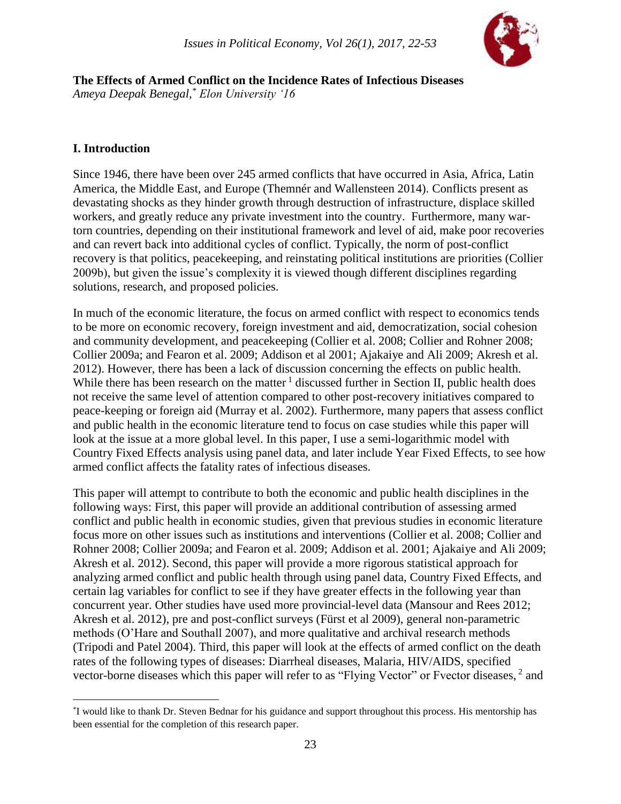

**The Effects of Armed Conflict on the Incidence Rates of Infectious Diseases** *Ameya Deepak Benegal,\* Elon University '16*

### **I. Introduction**

 $\overline{a}$ 

Since 1946, there have been over 245 armed conflicts that have occurred in Asia, Africa, Latin America, the Middle East, and Europe (Themnér and Wallensteen 2014). Conflicts present as devastating shocks as they hinder growth through destruction of infrastructure, displace skilled workers, and greatly reduce any private investment into the country. Furthermore, many wartorn countries, depending on their institutional framework and level of aid, make poor recoveries and can revert back into additional cycles of conflict. Typically, the norm of post-conflict recovery is that politics, peacekeeping, and reinstating political institutions are priorities (Collier 2009b), but given the issue's complexity it is viewed though different disciplines regarding solutions, research, and proposed policies.

In much of the economic literature, the focus on armed conflict with respect to economics tends to be more on economic recovery, foreign investment and aid, democratization, social cohesion and community development, and peacekeeping (Collier et al. 2008; Collier and Rohner 2008; Collier 2009a; and Fearon et al. 2009; Addison et al 2001; Ajakaiye and Ali 2009; Akresh et al. 2012). However, there has been a lack of discussion concerning the effects on public health. While there has been research on the matter  $\frac{1}{1}$  discussed further in Section II, public health does not receive the same level of attention compared to other post-recovery initiatives compared to peace-keeping or foreign aid (Murray et al. 2002). Furthermore, many papers that assess conflict and public health in the economic literature tend to focus on case studies while this paper will look at the issue at a more global level. In this paper, I use a semi-logarithmic model with Country Fixed Effects analysis using panel data, and later include Year Fixed Effects, to see how armed conflict affects the fatality rates of infectious diseases.

This paper will attempt to contribute to both the economic and public health disciplines in the following ways: First, this paper will provide an additional contribution of assessing armed conflict and public health in economic studies, given that previous studies in economic literature focus more on other issues such as institutions and interventions (Collier et al. 2008; Collier and Rohner 2008; Collier 2009a; and Fearon et al. 2009; Addison et al. 2001; Ajakaiye and Ali 2009; Akresh et al. 2012). Second, this paper will provide a more rigorous statistical approach for analyzing armed conflict and public health through using panel data, Country Fixed Effects, and certain lag variables for conflict to see if they have greater effects in the following year than concurrent year. Other studies have used more provincial-level data (Mansour and Rees 2012; Akresh et al. 2012), pre and post-conflict surveys (Fürst et al 2009), general non-parametric methods (O'Hare and Southall 2007), and more qualitative and archival research methods (Tripodi and Patel 2004). Third, this paper will look at the effects of armed conflict on the death rates of the following types of diseases: Diarrheal diseases, Malaria, HIV/AIDS, specified vector-borne diseases which this paper will refer to as "Flying Vector" or Fvector diseases, <sup>2</sup> and

<sup>\*</sup> I would like to thank Dr. Steven Bednar for his guidance and support throughout this process. His mentorship has been essential for the completion of this research paper.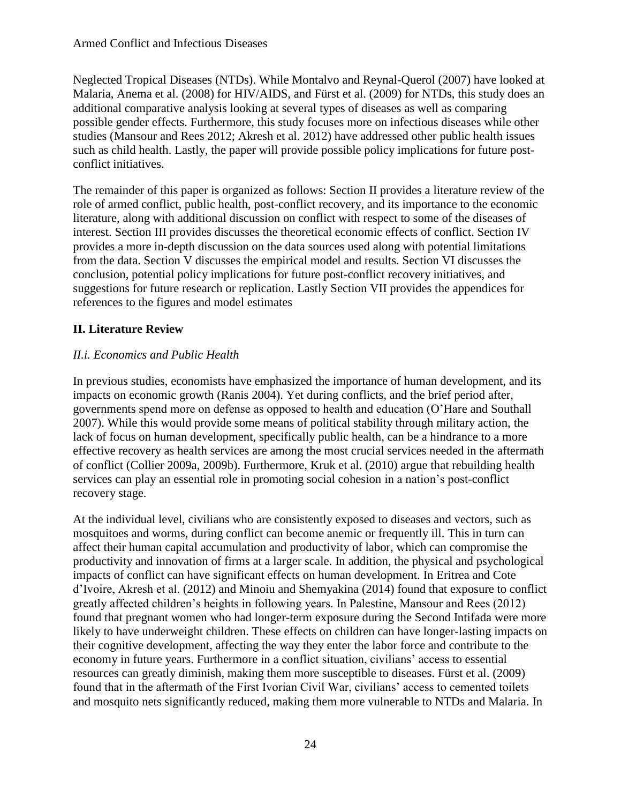Neglected Tropical Diseases (NTDs). While Montalvo and Reynal-Querol (2007) have looked at Malaria, Anema et al. (2008) for HIV/AIDS, and Fürst et al. (2009) for NTDs, this study does an additional comparative analysis looking at several types of diseases as well as comparing possible gender effects. Furthermore, this study focuses more on infectious diseases while other studies (Mansour and Rees 2012; Akresh et al. 2012) have addressed other public health issues such as child health. Lastly, the paper will provide possible policy implications for future postconflict initiatives.

The remainder of this paper is organized as follows: Section II provides a literature review of the role of armed conflict, public health, post-conflict recovery, and its importance to the economic literature, along with additional discussion on conflict with respect to some of the diseases of interest. Section III provides discusses the theoretical economic effects of conflict. Section IV provides a more in-depth discussion on the data sources used along with potential limitations from the data. Section V discusses the empirical model and results. Section VI discusses the conclusion, potential policy implications for future post-conflict recovery initiatives, and suggestions for future research or replication. Lastly Section VII provides the appendices for references to the figures and model estimates

# **II. Literature Review**

# *II.i. Economics and Public Health*

In previous studies, economists have emphasized the importance of human development, and its impacts on economic growth (Ranis 2004). Yet during conflicts, and the brief period after, governments spend more on defense as opposed to health and education (O'Hare and Southall 2007). While this would provide some means of political stability through military action, the lack of focus on human development, specifically public health, can be a hindrance to a more effective recovery as health services are among the most crucial services needed in the aftermath of conflict (Collier 2009a, 2009b). Furthermore, Kruk et al. (2010) argue that rebuilding health services can play an essential role in promoting social cohesion in a nation's post-conflict recovery stage.

At the individual level, civilians who are consistently exposed to diseases and vectors, such as mosquitoes and worms, during conflict can become anemic or frequently ill. This in turn can affect their human capital accumulation and productivity of labor, which can compromise the productivity and innovation of firms at a larger scale. In addition, the physical and psychological impacts of conflict can have significant effects on human development. In Eritrea and Cote d'Ivoire, Akresh et al. (2012) and Minoiu and Shemyakina (2014) found that exposure to conflict greatly affected children's heights in following years. In Palestine, Mansour and Rees (2012) found that pregnant women who had longer-term exposure during the Second Intifada were more likely to have underweight children. These effects on children can have longer-lasting impacts on their cognitive development, affecting the way they enter the labor force and contribute to the economy in future years. Furthermore in a conflict situation, civilians' access to essential resources can greatly diminish, making them more susceptible to diseases. Fürst et al. (2009) found that in the aftermath of the First Ivorian Civil War, civilians' access to cemented toilets and mosquito nets significantly reduced, making them more vulnerable to NTDs and Malaria. In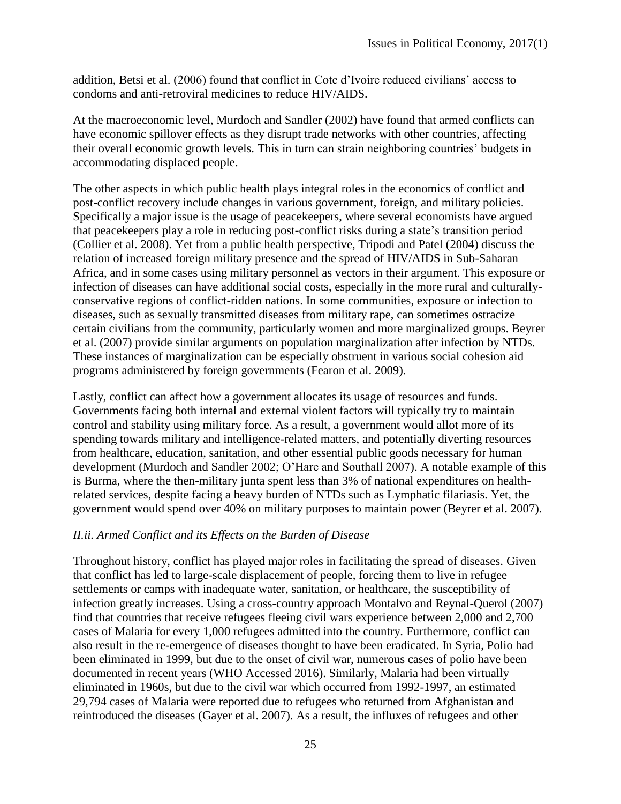addition, Betsi et al. (2006) found that conflict in Cote d'Ivoire reduced civilians' access to condoms and anti-retroviral medicines to reduce HIV/AIDS.

At the macroeconomic level, Murdoch and Sandler (2002) have found that armed conflicts can have economic spillover effects as they disrupt trade networks with other countries, affecting their overall economic growth levels. This in turn can strain neighboring countries' budgets in accommodating displaced people.

The other aspects in which public health plays integral roles in the economics of conflict and post-conflict recovery include changes in various government, foreign, and military policies. Specifically a major issue is the usage of peacekeepers, where several economists have argued that peacekeepers play a role in reducing post-conflict risks during a state's transition period (Collier et al. 2008). Yet from a public health perspective, Tripodi and Patel (2004) discuss the relation of increased foreign military presence and the spread of HIV/AIDS in Sub-Saharan Africa, and in some cases using military personnel as vectors in their argument. This exposure or infection of diseases can have additional social costs, especially in the more rural and culturallyconservative regions of conflict-ridden nations. In some communities, exposure or infection to diseases, such as sexually transmitted diseases from military rape, can sometimes ostracize certain civilians from the community, particularly women and more marginalized groups. Beyrer et al. (2007) provide similar arguments on population marginalization after infection by NTDs. These instances of marginalization can be especially obstruent in various social cohesion aid programs administered by foreign governments (Fearon et al. 2009).

Lastly, conflict can affect how a government allocates its usage of resources and funds. Governments facing both internal and external violent factors will typically try to maintain control and stability using military force. As a result, a government would allot more of its spending towards military and intelligence-related matters, and potentially diverting resources from healthcare, education, sanitation, and other essential public goods necessary for human development (Murdoch and Sandler 2002; O'Hare and Southall 2007). A notable example of this is Burma, where the then-military junta spent less than 3% of national expenditures on healthrelated services, despite facing a heavy burden of NTDs such as Lymphatic filariasis. Yet, the government would spend over 40% on military purposes to maintain power (Beyrer et al. 2007).

### *II.ii. Armed Conflict and its Effects on the Burden of Disease*

Throughout history, conflict has played major roles in facilitating the spread of diseases. Given that conflict has led to large-scale displacement of people, forcing them to live in refugee settlements or camps with inadequate water, sanitation, or healthcare, the susceptibility of infection greatly increases. Using a cross-country approach Montalvo and Reynal-Querol (2007) find that countries that receive refugees fleeing civil wars experience between 2,000 and 2,700 cases of Malaria for every 1,000 refugees admitted into the country. Furthermore, conflict can also result in the re-emergence of diseases thought to have been eradicated. In Syria, Polio had been eliminated in 1999, but due to the onset of civil war, numerous cases of polio have been documented in recent years (WHO Accessed 2016). Similarly, Malaria had been virtually eliminated in 1960s, but due to the civil war which occurred from 1992-1997, an estimated 29,794 cases of Malaria were reported due to refugees who returned from Afghanistan and reintroduced the diseases (Gayer et al. 2007). As a result, the influxes of refugees and other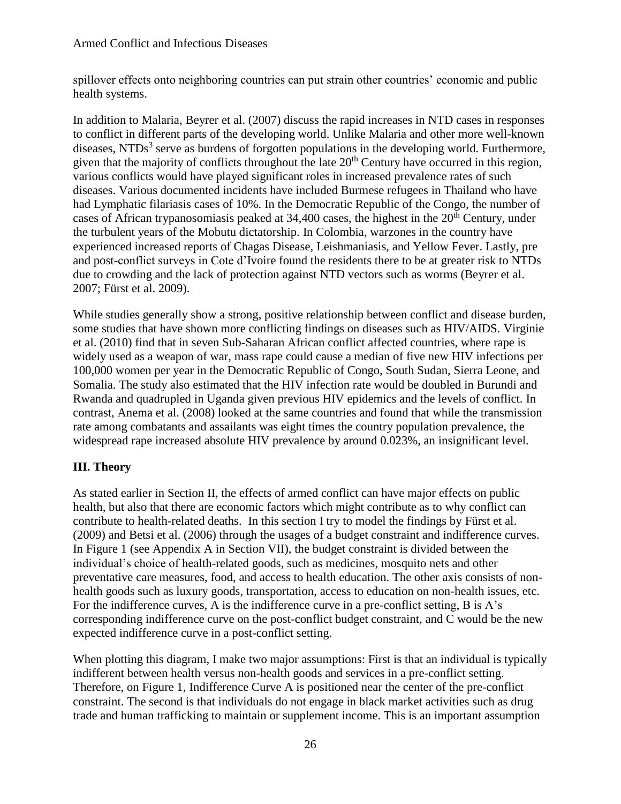#### Armed Conflict and Infectious Diseases

spillover effects onto neighboring countries can put strain other countries' economic and public health systems.

In addition to Malaria, Beyrer et al. (2007) discuss the rapid increases in NTD cases in responses to conflict in different parts of the developing world. Unlike Malaria and other more well-known diseases, NTDs<sup>3</sup> serve as burdens of forgotten populations in the developing world. Furthermore, given that the majority of conflicts throughout the late  $20<sup>th</sup>$  Century have occurred in this region, various conflicts would have played significant roles in increased prevalence rates of such diseases. Various documented incidents have included Burmese refugees in Thailand who have had Lymphatic filariasis cases of 10%. In the Democratic Republic of the Congo, the number of cases of African trypanosomiasis peaked at  $34,400$  cases, the highest in the  $20<sup>th</sup>$  Century, under the turbulent years of the Mobutu dictatorship. In Colombia, warzones in the country have experienced increased reports of Chagas Disease, Leishmaniasis, and Yellow Fever. Lastly, pre and post-conflict surveys in Cote d'Ivoire found the residents there to be at greater risk to NTDs due to crowding and the lack of protection against NTD vectors such as worms (Beyrer et al. 2007; Fürst et al. 2009).

While studies generally show a strong, positive relationship between conflict and disease burden, some studies that have shown more conflicting findings on diseases such as HIV/AIDS. Virginie et al. (2010) find that in seven Sub-Saharan African conflict affected countries, where rape is widely used as a weapon of war, mass rape could cause a median of five new HIV infections per 100,000 women per year in the Democratic Republic of Congo, South Sudan, Sierra Leone, and Somalia. The study also estimated that the HIV infection rate would be doubled in Burundi and Rwanda and quadrupled in Uganda given previous HIV epidemics and the levels of conflict. In contrast, Anema et al. (2008) looked at the same countries and found that while the transmission rate among combatants and assailants was eight times the country population prevalence, the widespread rape increased absolute HIV prevalence by around 0.023%, an insignificant level.

### **III. Theory**

As stated earlier in Section II, the effects of armed conflict can have major effects on public health, but also that there are economic factors which might contribute as to why conflict can contribute to health-related deaths. In this section I try to model the findings by Fürst et al. (2009) and Betsi et al. (2006) through the usages of a budget constraint and indifference curves. In Figure 1 (see Appendix A in Section VII), the budget constraint is divided between the individual's choice of health-related goods, such as medicines, mosquito nets and other preventative care measures, food, and access to health education. The other axis consists of nonhealth goods such as luxury goods, transportation, access to education on non-health issues, etc. For the indifference curves, A is the indifference curve in a pre-conflict setting, B is A's corresponding indifference curve on the post-conflict budget constraint, and C would be the new expected indifference curve in a post-conflict setting.

When plotting this diagram, I make two major assumptions: First is that an individual is typically indifferent between health versus non-health goods and services in a pre-conflict setting. Therefore, on Figure 1, Indifference Curve A is positioned near the center of the pre-conflict constraint. The second is that individuals do not engage in black market activities such as drug trade and human trafficking to maintain or supplement income. This is an important assumption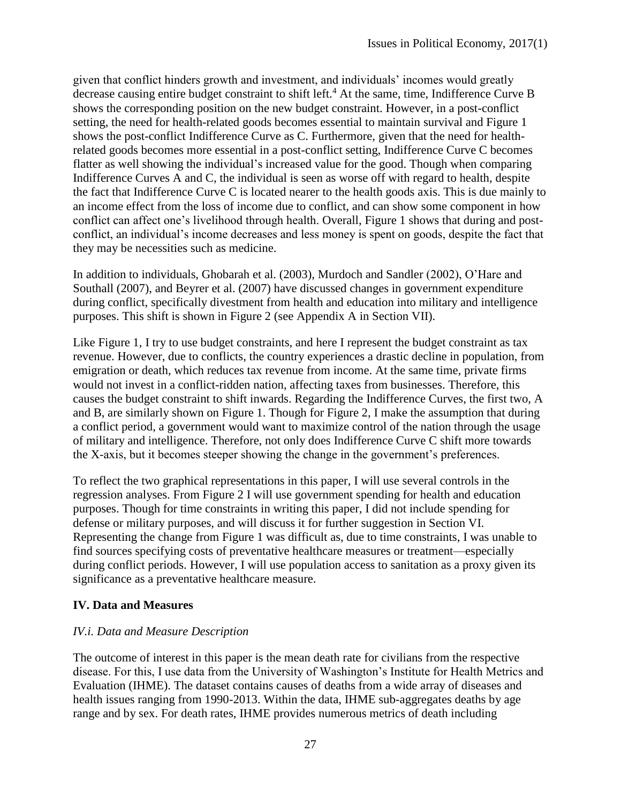given that conflict hinders growth and investment, and individuals' incomes would greatly decrease causing entire budget constraint to shift left.<sup>4</sup> At the same, time, Indifference Curve B shows the corresponding position on the new budget constraint. However, in a post-conflict setting, the need for health-related goods becomes essential to maintain survival and Figure 1 shows the post-conflict Indifference Curve as C. Furthermore, given that the need for healthrelated goods becomes more essential in a post-conflict setting, Indifference Curve C becomes flatter as well showing the individual's increased value for the good. Though when comparing Indifference Curves A and C, the individual is seen as worse off with regard to health, despite the fact that Indifference Curve C is located nearer to the health goods axis. This is due mainly to an income effect from the loss of income due to conflict, and can show some component in how conflict can affect one's livelihood through health. Overall, Figure 1 shows that during and postconflict, an individual's income decreases and less money is spent on goods, despite the fact that they may be necessities such as medicine.

In addition to individuals, Ghobarah et al. (2003), Murdoch and Sandler (2002), O'Hare and Southall (2007), and Beyrer et al. (2007) have discussed changes in government expenditure during conflict, specifically divestment from health and education into military and intelligence purposes. This shift is shown in Figure 2 (see Appendix A in Section VII).

Like Figure 1, I try to use budget constraints, and here I represent the budget constraint as tax revenue. However, due to conflicts, the country experiences a drastic decline in population, from emigration or death, which reduces tax revenue from income. At the same time, private firms would not invest in a conflict-ridden nation, affecting taxes from businesses. Therefore, this causes the budget constraint to shift inwards. Regarding the Indifference Curves, the first two, A and B, are similarly shown on Figure 1. Though for Figure 2, I make the assumption that during a conflict period, a government would want to maximize control of the nation through the usage of military and intelligence. Therefore, not only does Indifference Curve C shift more towards the X-axis, but it becomes steeper showing the change in the government's preferences.

To reflect the two graphical representations in this paper, I will use several controls in the regression analyses. From Figure 2 I will use government spending for health and education purposes. Though for time constraints in writing this paper, I did not include spending for defense or military purposes, and will discuss it for further suggestion in Section VI. Representing the change from Figure 1 was difficult as, due to time constraints, I was unable to find sources specifying costs of preventative healthcare measures or treatment—especially during conflict periods. However, I will use population access to sanitation as a proxy given its significance as a preventative healthcare measure.

### **IV. Data and Measures**

### *IV.i. Data and Measure Description*

The outcome of interest in this paper is the mean death rate for civilians from the respective disease. For this, I use data from the University of Washington's Institute for Health Metrics and Evaluation (IHME). The dataset contains causes of deaths from a wide array of diseases and health issues ranging from 1990-2013. Within the data, IHME sub-aggregates deaths by age range and by sex. For death rates, IHME provides numerous metrics of death including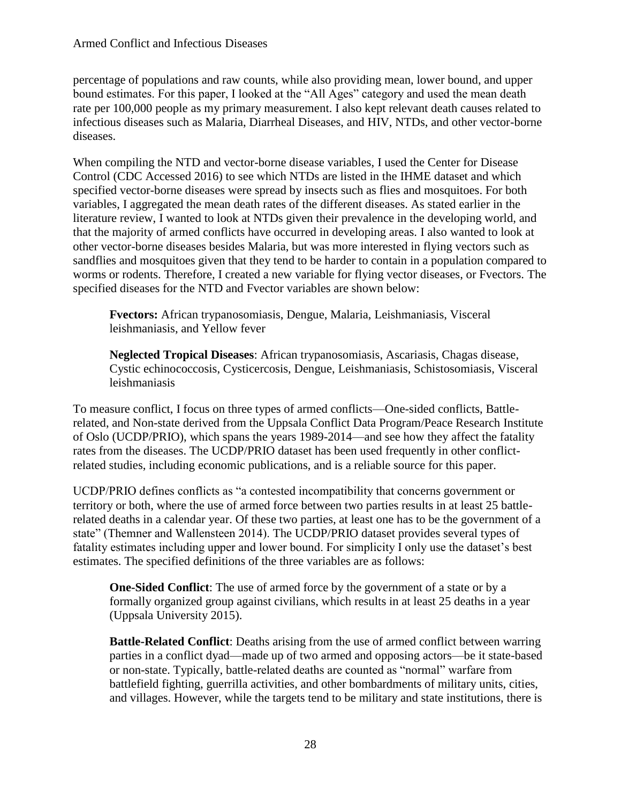percentage of populations and raw counts, while also providing mean, lower bound, and upper bound estimates. For this paper, I looked at the "All Ages" category and used the mean death rate per 100,000 people as my primary measurement. I also kept relevant death causes related to infectious diseases such as Malaria, Diarrheal Diseases, and HIV, NTDs, and other vector-borne diseases.

When compiling the NTD and vector-borne disease variables, I used the Center for Disease Control (CDC Accessed 2016) to see which NTDs are listed in the IHME dataset and which specified vector-borne diseases were spread by insects such as flies and mosquitoes. For both variables, I aggregated the mean death rates of the different diseases. As stated earlier in the literature review, I wanted to look at NTDs given their prevalence in the developing world, and that the majority of armed conflicts have occurred in developing areas. I also wanted to look at other vector-borne diseases besides Malaria, but was more interested in flying vectors such as sandflies and mosquitoes given that they tend to be harder to contain in a population compared to worms or rodents. Therefore, I created a new variable for flying vector diseases, or Fvectors. The specified diseases for the NTD and Fvector variables are shown below:

**Fvectors:** African trypanosomiasis, Dengue, Malaria, Leishmaniasis, Visceral leishmaniasis, and Yellow fever

**Neglected Tropical Diseases**: African trypanosomiasis, Ascariasis, Chagas disease, Cystic echinococcosis, Cysticercosis, Dengue, Leishmaniasis, Schistosomiasis, Visceral leishmaniasis

To measure conflict, I focus on three types of armed conflicts—One-sided conflicts, Battlerelated, and Non-state derived from the Uppsala Conflict Data Program/Peace Research Institute of Oslo (UCDP/PRIO), which spans the years 1989-2014—and see how they affect the fatality rates from the diseases. The UCDP/PRIO dataset has been used frequently in other conflictrelated studies, including economic publications, and is a reliable source for this paper.

UCDP/PRIO defines conflicts as "a contested incompatibility that concerns government or territory or both, where the use of armed force between two parties results in at least 25 battlerelated deaths in a calendar year. Of these two parties, at least one has to be the government of a state" (Themner and Wallensteen 2014). The UCDP/PRIO dataset provides several types of fatality estimates including upper and lower bound. For simplicity I only use the dataset's best estimates. The specified definitions of the three variables are as follows:

**One-Sided Conflict**: The use of armed force by the government of a state or by a formally organized group against civilians, which results in at least 25 deaths in a year (Uppsala University 2015).

**Battle-Related Conflict**: Deaths arising from the use of armed conflict between warring parties in a conflict dyad—made up of two armed and opposing actors—be it state-based or non-state. Typically, battle-related deaths are counted as "normal" warfare from battlefield fighting, guerrilla activities, and other bombardments of military units, cities, and villages. However, while the targets tend to be military and state institutions, there is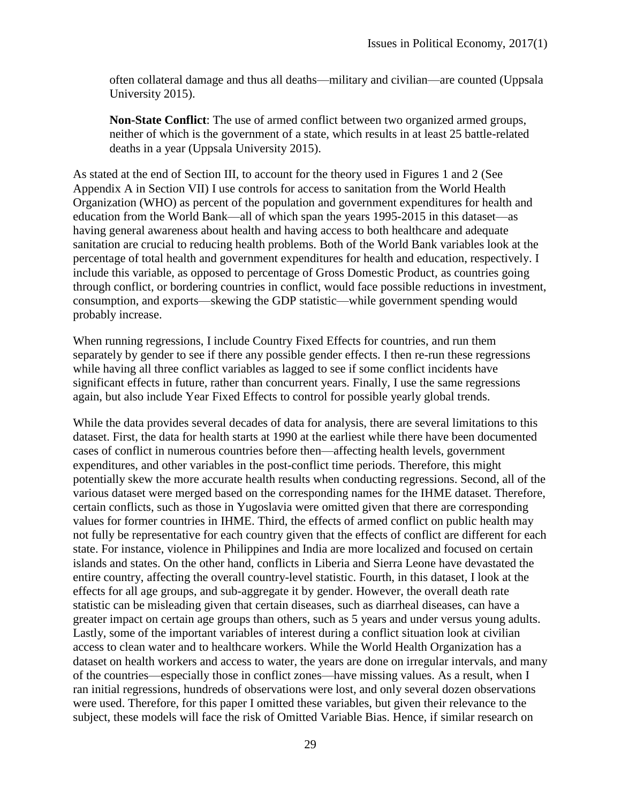often collateral damage and thus all deaths—military and civilian—are counted (Uppsala University 2015).

**Non-State Conflict**: The use of armed conflict between two organized armed groups, neither of which is the government of a state, which results in at least 25 battle-related deaths in a year (Uppsala University 2015).

As stated at the end of Section III, to account for the theory used in Figures 1 and 2 (See Appendix A in Section VII) I use controls for access to sanitation from the World Health Organization (WHO) as percent of the population and government expenditures for health and education from the World Bank—all of which span the years 1995-2015 in this dataset—as having general awareness about health and having access to both healthcare and adequate sanitation are crucial to reducing health problems. Both of the World Bank variables look at the percentage of total health and government expenditures for health and education, respectively. I include this variable, as opposed to percentage of Gross Domestic Product, as countries going through conflict, or bordering countries in conflict, would face possible reductions in investment, consumption, and exports—skewing the GDP statistic—while government spending would probably increase.

When running regressions, I include Country Fixed Effects for countries, and run them separately by gender to see if there any possible gender effects. I then re-run these regressions while having all three conflict variables as lagged to see if some conflict incidents have significant effects in future, rather than concurrent years. Finally, I use the same regressions again, but also include Year Fixed Effects to control for possible yearly global trends.

While the data provides several decades of data for analysis, there are several limitations to this dataset. First, the data for health starts at 1990 at the earliest while there have been documented cases of conflict in numerous countries before then—affecting health levels, government expenditures, and other variables in the post-conflict time periods. Therefore, this might potentially skew the more accurate health results when conducting regressions. Second, all of the various dataset were merged based on the corresponding names for the IHME dataset. Therefore, certain conflicts, such as those in Yugoslavia were omitted given that there are corresponding values for former countries in IHME. Third, the effects of armed conflict on public health may not fully be representative for each country given that the effects of conflict are different for each state. For instance, violence in Philippines and India are more localized and focused on certain islands and states. On the other hand, conflicts in Liberia and Sierra Leone have devastated the entire country, affecting the overall country-level statistic. Fourth, in this dataset, I look at the effects for all age groups, and sub-aggregate it by gender. However, the overall death rate statistic can be misleading given that certain diseases, such as diarrheal diseases, can have a greater impact on certain age groups than others, such as 5 years and under versus young adults. Lastly, some of the important variables of interest during a conflict situation look at civilian access to clean water and to healthcare workers. While the World Health Organization has a dataset on health workers and access to water, the years are done on irregular intervals, and many of the countries—especially those in conflict zones—have missing values. As a result, when I ran initial regressions, hundreds of observations were lost, and only several dozen observations were used. Therefore, for this paper I omitted these variables, but given their relevance to the subject, these models will face the risk of Omitted Variable Bias. Hence, if similar research on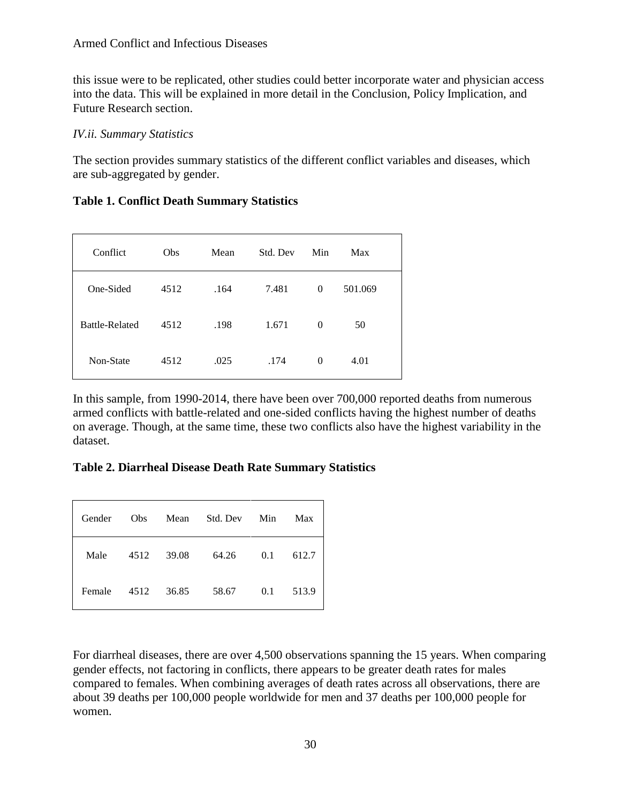#### Armed Conflict and Infectious Diseases

this issue were to be replicated, other studies could better incorporate water and physician access into the data. This will be explained in more detail in the Conclusion, Policy Implication, and Future Research section.

#### *IV.ii. Summary Statistics*

The section provides summary statistics of the different conflict variables and diseases, which are sub-aggregated by gender.

#### **Table 1. Conflict Death Summary Statistics**

| Conflict              | Obs  | Mean | Std. Dev | Min      | Max     |
|-----------------------|------|------|----------|----------|---------|
| One-Sided             | 4512 | .164 | 7.481    | $\Omega$ | 501.069 |
| <b>Battle-Related</b> | 4512 | .198 | 1.671    | $\Omega$ | 50      |
| Non-State             | 4512 | .025 | .174     | 0        | 4.01    |

In this sample, from 1990-2014, there have been over 700,000 reported deaths from numerous armed conflicts with battle-related and one-sided conflicts having the highest number of deaths on average. Though, at the same time, these two conflicts also have the highest variability in the dataset.

**Table 2. Diarrheal Disease Death Rate Summary Statistics**

| Gender | Obs  | Mean  | Std. Dev | Min | Max   |
|--------|------|-------|----------|-----|-------|
| Male   | 4512 | 39.08 | 64.26    | 0.1 | 612.7 |
| Female | 4512 | 36.85 | 58.67    | 0.1 | 513.9 |

For diarrheal diseases, there are over 4,500 observations spanning the 15 years. When comparing gender effects, not factoring in conflicts, there appears to be greater death rates for males compared to females. When combining averages of death rates across all observations, there are about 39 deaths per 100,000 people worldwide for men and 37 deaths per 100,000 people for women.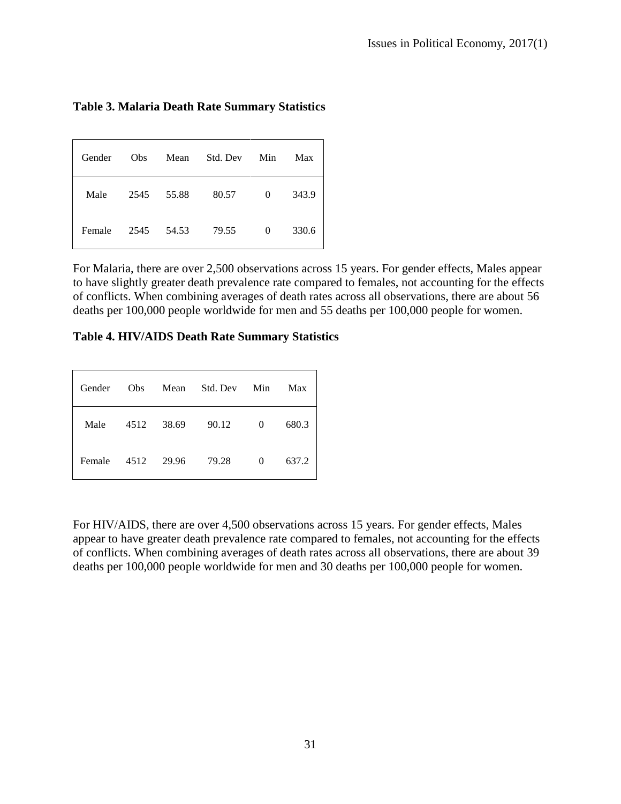| <b>Table 3. Malaria Death Rate Summary Statistics</b> |  |  |  |
|-------------------------------------------------------|--|--|--|
|-------------------------------------------------------|--|--|--|

| Gender | Obs  | Mean  | Std. Dev | Min      | Max   |
|--------|------|-------|----------|----------|-------|
| Male   | 2545 | 55.88 | 80.57    | $\theta$ | 343.9 |
| Female | 2545 | 54.53 | 79.55    | $\theta$ | 330.6 |

For Malaria, there are over 2,500 observations across 15 years. For gender effects, Males appear to have slightly greater death prevalence rate compared to females, not accounting for the effects of conflicts. When combining averages of death rates across all observations, there are about 56 deaths per 100,000 people worldwide for men and 55 deaths per 100,000 people for women.

**Table 4. HIV/AIDS Death Rate Summary Statistics**

| Gender | Obs  | Mean  | Std. Dev | Min      | Max   |
|--------|------|-------|----------|----------|-------|
| Male   | 4512 | 38.69 | 90.12    | $\Omega$ | 680.3 |
| Female | 4512 | 29.96 | 79.28    | 0        | 637.2 |

For HIV/AIDS, there are over 4,500 observations across 15 years. For gender effects, Males appear to have greater death prevalence rate compared to females, not accounting for the effects of conflicts. When combining averages of death rates across all observations, there are about 39 deaths per 100,000 people worldwide for men and 30 deaths per 100,000 people for women.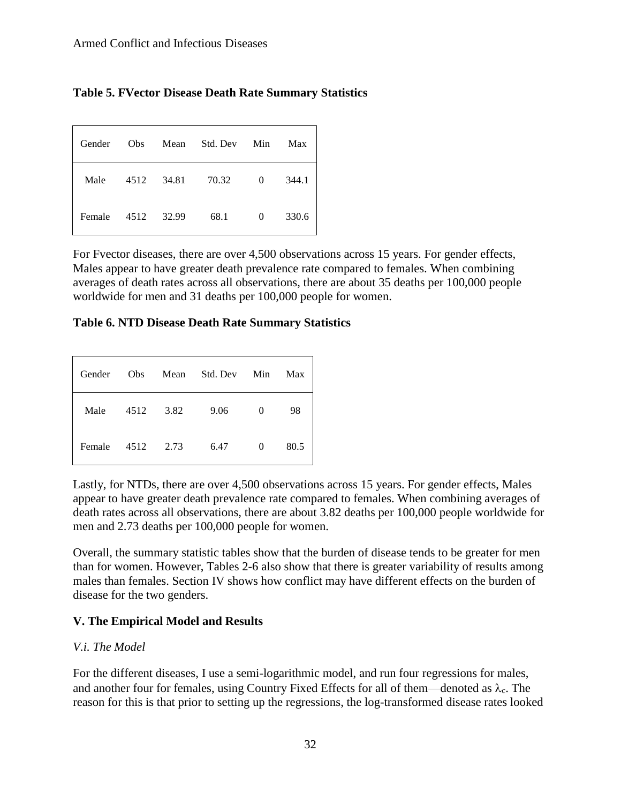|  |  |  |  |  | <b>Table 5. FVector Disease Death Rate Summary Statistics</b> |  |
|--|--|--|--|--|---------------------------------------------------------------|--|
|--|--|--|--|--|---------------------------------------------------------------|--|

| Gender | <b>Obs</b> | Mean  | Std. Dev | Min      | Max   |
|--------|------------|-------|----------|----------|-------|
| Male   | 4512       | 34.81 | 70.32    | $\Omega$ | 344.1 |
| Female | 4512       | 32.99 | 68.1     | $\Omega$ | 330.6 |

For Fvector diseases, there are over 4,500 observations across 15 years. For gender effects, Males appear to have greater death prevalence rate compared to females. When combining averages of death rates across all observations, there are about 35 deaths per 100,000 people worldwide for men and 31 deaths per 100,000 people for women.

#### **Table 6. NTD Disease Death Rate Summary Statistics**

| Gender | Obs  | Mean | Std. Dev | Min | Max  |
|--------|------|------|----------|-----|------|
| Male   | 4512 | 3.82 | 9.06     | 0   | 98   |
| Female | 4512 | 2.73 | 6.47     | 0   | 80.5 |

Lastly, for NTDs, there are over 4,500 observations across 15 years. For gender effects, Males appear to have greater death prevalence rate compared to females. When combining averages of death rates across all observations, there are about 3.82 deaths per 100,000 people worldwide for men and 2.73 deaths per 100,000 people for women.

Overall, the summary statistic tables show that the burden of disease tends to be greater for men than for women. However, Tables 2-6 also show that there is greater variability of results among males than females. Section IV shows how conflict may have different effects on the burden of disease for the two genders.

### **V. The Empirical Model and Results**

### *V.i. The Model*

For the different diseases, I use a semi-logarithmic model, and run four regressions for males, and another four for females, using Country Fixed Effects for all of them—denoted as  $\lambda_c$ . The reason for this is that prior to setting up the regressions, the log-transformed disease rates looked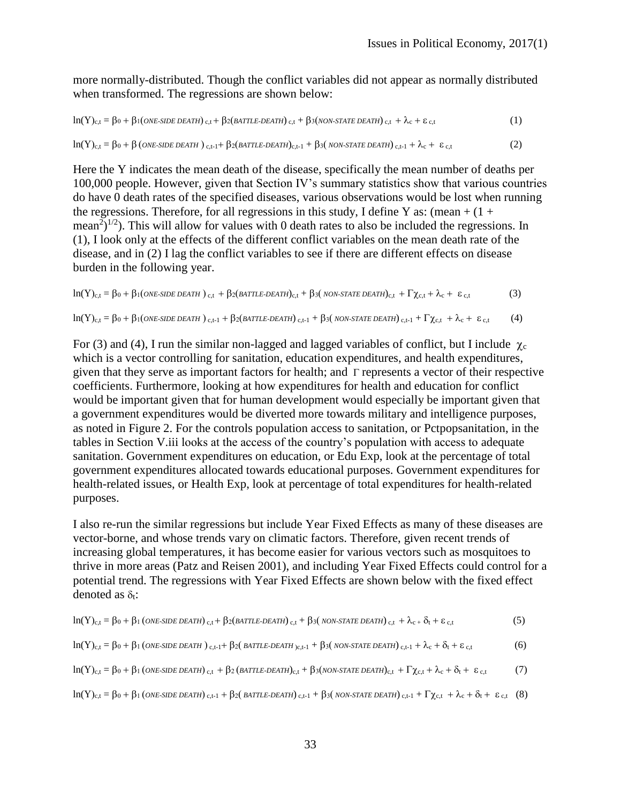more normally-distributed. Though the conflict variables did not appear as normally distributed when transformed. The regressions are shown below:

$$
ln(Y)_{c,t} = \beta_0 + \beta_1(\text{ONE-SIDE DEATH})_{c,t} + \beta_2(\text{BATILE-DEATH})_{c,t} + \beta_3(\text{NON-STATE DEATH})_{c,t} + \lambda_c + \varepsilon_{c,t}
$$
(1)

$$
ln(Y)_{c,t} = \beta_0 + \beta \left(\text{ONE-SIDE DEATH}\right)_{c,t-1} + \beta_2 \left(\text{BATILE-DEATH}\right)_{c,t-1} + \beta_3 \left(\text{NON-STATE DEATH}\right)_{c,t-1} + \lambda_c + \varepsilon_{c,t} \tag{2}
$$

Here the Y indicates the mean death of the disease, specifically the mean number of deaths per 100,000 people. However, given that Section IV's summary statistics show that various countries do have 0 death rates of the specified diseases, various observations would be lost when running the regressions. Therefore, for all regressions in this study, I define Y as: (mean  $+(1 +$ mean<sup>2</sup>)<sup> $1/2$ </sup>). This will allow for values with 0 death rates to also be included the regressions. In (1), I look only at the effects of the different conflict variables on the mean death rate of the disease, and in (2) I lag the conflict variables to see if there are different effects on disease burden in the following year.

$$
ln(Y)_{c,t} = \beta_0 + \beta_1 (ONE-SIDE DEATH)_{c,t} + \beta_2 (BATILE-DEATH)_{c,t} + \beta_3 (NON-STATE DEATH)_{c,t} + \Gamma \chi_{c,t} + \lambda_c + \varepsilon_{c,t}
$$
(3)

$$
ln(Y)_{c,t} = \beta_0 + \beta_1 (one\text{-size}\text{ delta})_{c,t-1} + \beta_2 (partile\text{-delta}tH)_{c,t-1} + \beta_3 (non\text{-state}\text{ delta})_{c,t-1} + \Gamma \chi_{c,t} + \lambda_c + \epsilon_{c,t}
$$
 (4)

For (3) and (4), I run the similar non-lagged and lagged variables of conflict, but I include  $\chi_c$ which is a vector controlling for sanitation, education expenditures, and health expenditures, given that they serve as important factors for health; and  $\Gamma$  represents a vector of their respective coefficients. Furthermore, looking at how expenditures for health and education for conflict would be important given that for human development would especially be important given that a government expenditures would be diverted more towards military and intelligence purposes, as noted in Figure 2. For the controls population access to sanitation, or Pctpopsanitation, in the tables in Section V.iii looks at the access of the country's population with access to adequate sanitation. Government expenditures on education, or Edu Exp, look at the percentage of total government expenditures allocated towards educational purposes. Government expenditures for health-related issues, or Health Exp, look at percentage of total expenditures for health-related purposes.

I also re-run the similar regressions but include Year Fixed Effects as many of these diseases are vector-borne, and whose trends vary on climatic factors. Therefore, given recent trends of increasing global temperatures, it has become easier for various vectors such as mosquitoes to thrive in more areas (Patz and Reisen 2001), and including Year Fixed Effects could control for a potential trend. The regressions with Year Fixed Effects are shown below with the fixed effect denoted as  $\delta_t$ :

$$
\ln(Y)_{c,t} = \beta_0 + \beta_1 \left(\text{ONE-SIDE DEATH}\right)_{c,t} + \beta_2 \left(\text{BATILE-DEATH}\right)_{c,t} + \beta_3 \left(\text{NON-STATE DEATH}\right)_{c,t} + \lambda_{c+} \delta_t + \varepsilon_{c,t} \tag{5}
$$
\n
$$
\ln(Y)_{c,t} = \beta_0 + \beta_1 \left(\text{ONE-SIDE DEATH}\right)_{c,t-1} + \beta_2 \left(\text{BATILE-DEATH}\right)_{c,t-1} + \beta_3 \left(\text{NON-STATE DEATH}\right)_{c,t-1} + \lambda_c + \delta_t + \varepsilon_{c,t} \tag{6}
$$
\n
$$
\ln(Y)_{c,t} = \beta_0 + \beta_1 \left(\text{ONE-SIDE DEATH}\right)_{c,t} + \beta_2 \left(\text{BATILE-DEATH}\right)_{c,t} + \beta_3 \left(\text{NON-STATE DEATH}\right)_{c,t} + \Gamma \chi_{c,t} + \lambda_c + \delta_t + \varepsilon_{c,t} \tag{7}
$$
\n
$$
\ln(Y)_{c,t} = \beta_0 + \beta_1 \left(\text{ONE-SIDE DEATH}\right)_{c,t-1} + \beta_2 \left(\text{BATILE-DEATH}\right)_{c,t-1} + \beta_3 \left(\text{NON-STATE DEATH}\right)_{c,t-1} + \Gamma \chi_{c,t} + \lambda_c + \delta_t + \varepsilon_{c,t} \tag{8}
$$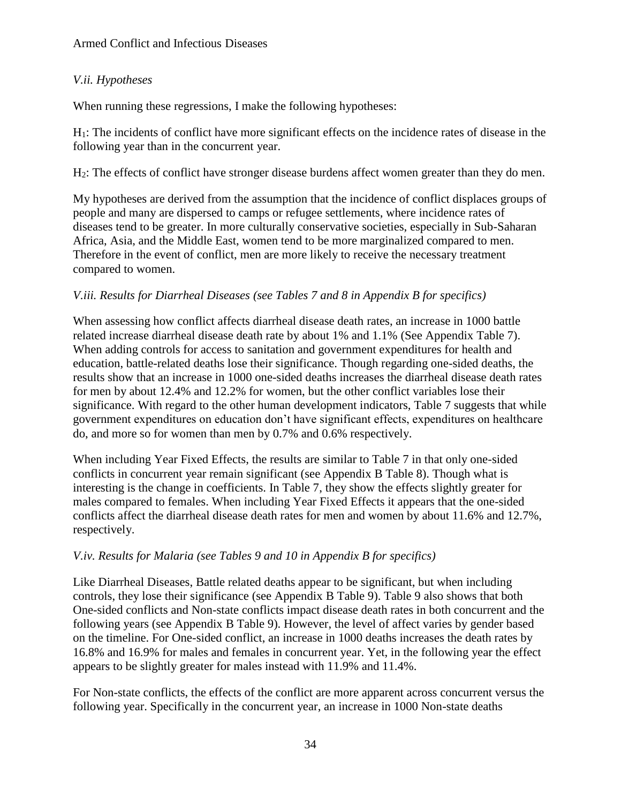## *V.ii. Hypotheses*

When running these regressions, I make the following hypotheses:

H1: The incidents of conflict have more significant effects on the incidence rates of disease in the following year than in the concurrent year.

H2: The effects of conflict have stronger disease burdens affect women greater than they do men.

My hypotheses are derived from the assumption that the incidence of conflict displaces groups of people and many are dispersed to camps or refugee settlements, where incidence rates of diseases tend to be greater. In more culturally conservative societies, especially in Sub-Saharan Africa, Asia, and the Middle East, women tend to be more marginalized compared to men. Therefore in the event of conflict, men are more likely to receive the necessary treatment compared to women.

### *V.iii. Results for Diarrheal Diseases (see Tables 7 and 8 in Appendix B for specifics)*

When assessing how conflict affects diarrheal disease death rates, an increase in 1000 battle related increase diarrheal disease death rate by about 1% and 1.1% (See Appendix Table 7). When adding controls for access to sanitation and government expenditures for health and education, battle-related deaths lose their significance. Though regarding one-sided deaths, the results show that an increase in 1000 one-sided deaths increases the diarrheal disease death rates for men by about 12.4% and 12.2% for women, but the other conflict variables lose their significance. With regard to the other human development indicators, Table 7 suggests that while government expenditures on education don't have significant effects, expenditures on healthcare do, and more so for women than men by 0.7% and 0.6% respectively.

When including Year Fixed Effects, the results are similar to Table 7 in that only one-sided conflicts in concurrent year remain significant (see Appendix B Table 8). Though what is interesting is the change in coefficients. In Table 7, they show the effects slightly greater for males compared to females. When including Year Fixed Effects it appears that the one-sided conflicts affect the diarrheal disease death rates for men and women by about 11.6% and 12.7%, respectively.

### *V.iv. Results for Malaria (see Tables 9 and 10 in Appendix B for specifics)*

Like Diarrheal Diseases, Battle related deaths appear to be significant, but when including controls, they lose their significance (see Appendix B Table 9). Table 9 also shows that both One-sided conflicts and Non-state conflicts impact disease death rates in both concurrent and the following years (see Appendix B Table 9). However, the level of affect varies by gender based on the timeline. For One-sided conflict, an increase in 1000 deaths increases the death rates by 16.8% and 16.9% for males and females in concurrent year. Yet, in the following year the effect appears to be slightly greater for males instead with 11.9% and 11.4%.

For Non-state conflicts, the effects of the conflict are more apparent across concurrent versus the following year. Specifically in the concurrent year, an increase in 1000 Non-state deaths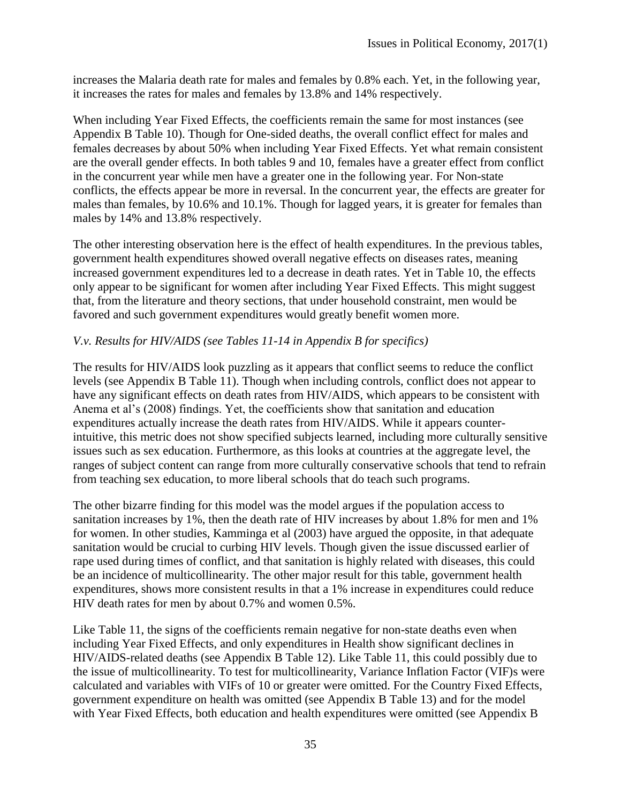increases the Malaria death rate for males and females by 0.8% each. Yet, in the following year, it increases the rates for males and females by 13.8% and 14% respectively.

When including Year Fixed Effects, the coefficients remain the same for most instances (see Appendix B Table 10). Though for One-sided deaths, the overall conflict effect for males and females decreases by about 50% when including Year Fixed Effects. Yet what remain consistent are the overall gender effects. In both tables 9 and 10, females have a greater effect from conflict in the concurrent year while men have a greater one in the following year. For Non-state conflicts, the effects appear be more in reversal. In the concurrent year, the effects are greater for males than females, by 10.6% and 10.1%. Though for lagged years, it is greater for females than males by 14% and 13.8% respectively.

The other interesting observation here is the effect of health expenditures. In the previous tables, government health expenditures showed overall negative effects on diseases rates, meaning increased government expenditures led to a decrease in death rates. Yet in Table 10, the effects only appear to be significant for women after including Year Fixed Effects. This might suggest that, from the literature and theory sections, that under household constraint, men would be favored and such government expenditures would greatly benefit women more.

### *V.v. Results for HIV/AIDS (see Tables 11-14 in Appendix B for specifics)*

The results for HIV/AIDS look puzzling as it appears that conflict seems to reduce the conflict levels (see Appendix B Table 11). Though when including controls, conflict does not appear to have any significant effects on death rates from HIV/AIDS, which appears to be consistent with Anema et al's (2008) findings. Yet, the coefficients show that sanitation and education expenditures actually increase the death rates from HIV/AIDS. While it appears counterintuitive, this metric does not show specified subjects learned, including more culturally sensitive issues such as sex education. Furthermore, as this looks at countries at the aggregate level, the ranges of subject content can range from more culturally conservative schools that tend to refrain from teaching sex education, to more liberal schools that do teach such programs.

The other bizarre finding for this model was the model argues if the population access to sanitation increases by 1%, then the death rate of HIV increases by about 1.8% for men and 1% for women. In other studies, Kamminga et al (2003) have argued the opposite, in that adequate sanitation would be crucial to curbing HIV levels. Though given the issue discussed earlier of rape used during times of conflict, and that sanitation is highly related with diseases, this could be an incidence of multicollinearity. The other major result for this table, government health expenditures, shows more consistent results in that a 1% increase in expenditures could reduce HIV death rates for men by about 0.7% and women 0.5%.

Like Table 11, the signs of the coefficients remain negative for non-state deaths even when including Year Fixed Effects, and only expenditures in Health show significant declines in HIV/AIDS-related deaths (see Appendix B Table 12). Like Table 11, this could possibly due to the issue of multicollinearity. To test for multicollinearity, Variance Inflation Factor (VIF)s were calculated and variables with VIFs of 10 or greater were omitted. For the Country Fixed Effects, government expenditure on health was omitted (see Appendix B Table 13) and for the model with Year Fixed Effects, both education and health expenditures were omitted (see Appendix B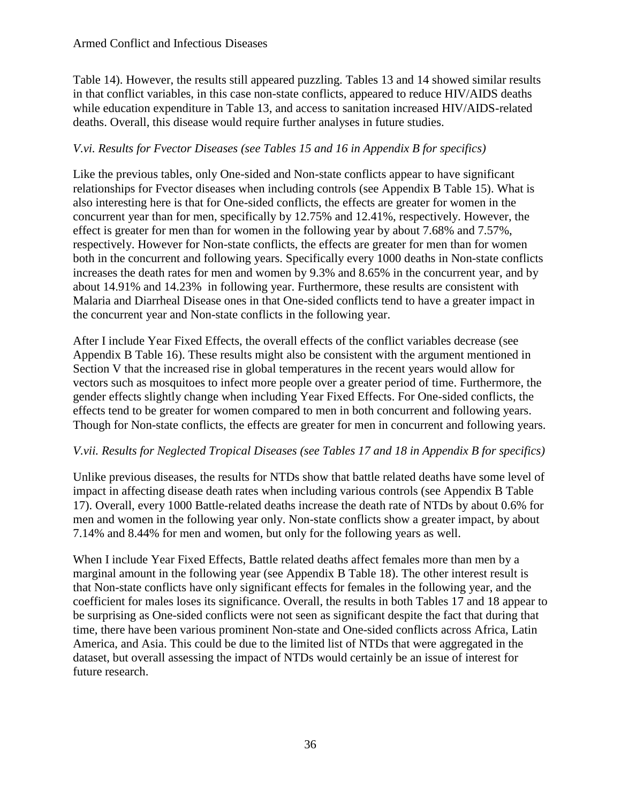Table 14). However, the results still appeared puzzling. Tables 13 and 14 showed similar results in that conflict variables, in this case non-state conflicts, appeared to reduce HIV/AIDS deaths while education expenditure in Table 13, and access to sanitation increased HIV/AIDS-related deaths. Overall, this disease would require further analyses in future studies.

### *V.vi. Results for Fvector Diseases (see Tables 15 and 16 in Appendix B for specifics)*

Like the previous tables, only One-sided and Non-state conflicts appear to have significant relationships for Fvector diseases when including controls (see Appendix B Table 15). What is also interesting here is that for One-sided conflicts, the effects are greater for women in the concurrent year than for men, specifically by 12.75% and 12.41%, respectively. However, the effect is greater for men than for women in the following year by about 7.68% and 7.57%, respectively. However for Non-state conflicts, the effects are greater for men than for women both in the concurrent and following years. Specifically every 1000 deaths in Non-state conflicts increases the death rates for men and women by 9.3% and 8.65% in the concurrent year, and by about 14.91% and 14.23% in following year. Furthermore, these results are consistent with Malaria and Diarrheal Disease ones in that One-sided conflicts tend to have a greater impact in the concurrent year and Non-state conflicts in the following year.

After I include Year Fixed Effects, the overall effects of the conflict variables decrease (see Appendix B Table 16). These results might also be consistent with the argument mentioned in Section V that the increased rise in global temperatures in the recent years would allow for vectors such as mosquitoes to infect more people over a greater period of time. Furthermore, the gender effects slightly change when including Year Fixed Effects. For One-sided conflicts, the effects tend to be greater for women compared to men in both concurrent and following years. Though for Non-state conflicts, the effects are greater for men in concurrent and following years.

### *V.vii. Results for Neglected Tropical Diseases (see Tables 17 and 18 in Appendix B for specifics)*

Unlike previous diseases, the results for NTDs show that battle related deaths have some level of impact in affecting disease death rates when including various controls (see Appendix B Table 17). Overall, every 1000 Battle-related deaths increase the death rate of NTDs by about 0.6% for men and women in the following year only. Non-state conflicts show a greater impact, by about 7.14% and 8.44% for men and women, but only for the following years as well.

When I include Year Fixed Effects, Battle related deaths affect females more than men by a marginal amount in the following year (see Appendix B Table 18). The other interest result is that Non-state conflicts have only significant effects for females in the following year, and the coefficient for males loses its significance. Overall, the results in both Tables 17 and 18 appear to be surprising as One-sided conflicts were not seen as significant despite the fact that during that time, there have been various prominent Non-state and One-sided conflicts across Africa, Latin America, and Asia. This could be due to the limited list of NTDs that were aggregated in the dataset, but overall assessing the impact of NTDs would certainly be an issue of interest for future research.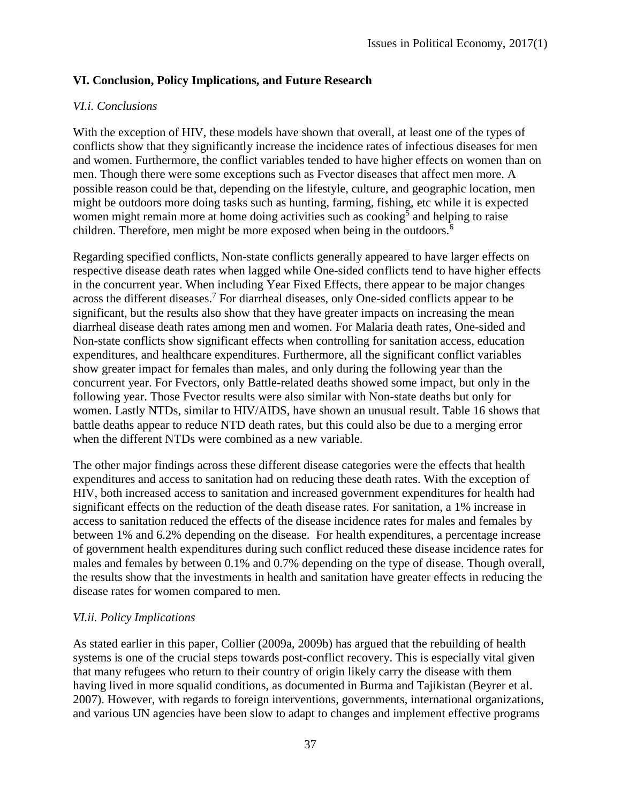### **VI. Conclusion, Policy Implications, and Future Research**

#### *VI.i. Conclusions*

With the exception of HIV, these models have shown that overall, at least one of the types of conflicts show that they significantly increase the incidence rates of infectious diseases for men and women. Furthermore, the conflict variables tended to have higher effects on women than on men. Though there were some exceptions such as Fvector diseases that affect men more. A possible reason could be that, depending on the lifestyle, culture, and geographic location, men might be outdoors more doing tasks such as hunting, farming, fishing, etc while it is expected women might remain more at home doing activities such as cooking<sup>5</sup> and helping to raise children. Therefore, men might be more exposed when being in the outdoors.<sup>6</sup>

Regarding specified conflicts, Non-state conflicts generally appeared to have larger effects on respective disease death rates when lagged while One-sided conflicts tend to have higher effects in the concurrent year. When including Year Fixed Effects, there appear to be major changes across the different diseases.<sup>7</sup> For diarrheal diseases, only One-sided conflicts appear to be significant, but the results also show that they have greater impacts on increasing the mean diarrheal disease death rates among men and women. For Malaria death rates, One-sided and Non-state conflicts show significant effects when controlling for sanitation access, education expenditures, and healthcare expenditures. Furthermore, all the significant conflict variables show greater impact for females than males, and only during the following year than the concurrent year. For Fvectors, only Battle-related deaths showed some impact, but only in the following year. Those Fvector results were also similar with Non-state deaths but only for women. Lastly NTDs, similar to HIV/AIDS, have shown an unusual result. Table 16 shows that battle deaths appear to reduce NTD death rates, but this could also be due to a merging error when the different NTDs were combined as a new variable.

The other major findings across these different disease categories were the effects that health expenditures and access to sanitation had on reducing these death rates. With the exception of HIV, both increased access to sanitation and increased government expenditures for health had significant effects on the reduction of the death disease rates. For sanitation, a 1% increase in access to sanitation reduced the effects of the disease incidence rates for males and females by between 1% and 6.2% depending on the disease. For health expenditures, a percentage increase of government health expenditures during such conflict reduced these disease incidence rates for males and females by between 0.1% and 0.7% depending on the type of disease. Though overall, the results show that the investments in health and sanitation have greater effects in reducing the disease rates for women compared to men.

### *VI.ii. Policy Implications*

As stated earlier in this paper, Collier (2009a, 2009b) has argued that the rebuilding of health systems is one of the crucial steps towards post-conflict recovery. This is especially vital given that many refugees who return to their country of origin likely carry the disease with them having lived in more squalid conditions, as documented in Burma and Tajikistan (Beyrer et al. 2007). However, with regards to foreign interventions, governments, international organizations, and various UN agencies have been slow to adapt to changes and implement effective programs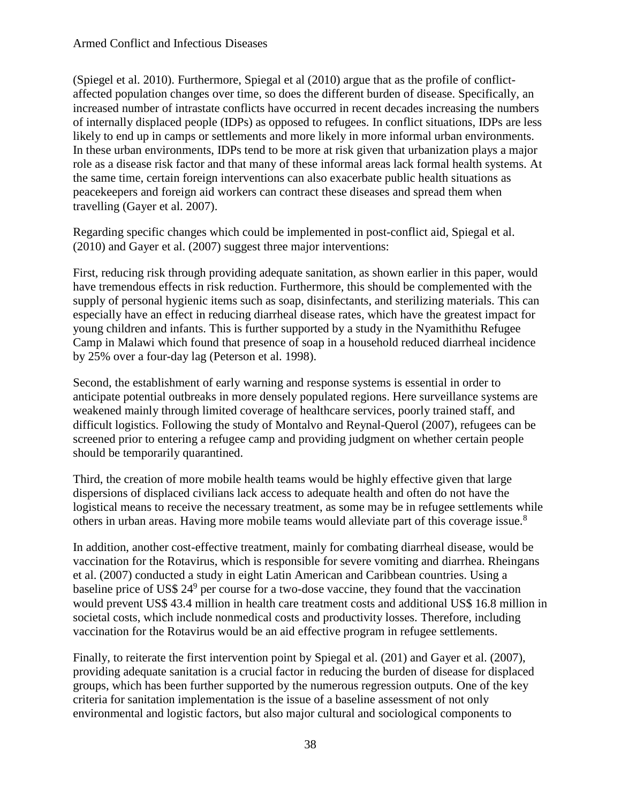(Spiegel et al. 2010). Furthermore, Spiegal et al (2010) argue that as the profile of conflictaffected population changes over time, so does the different burden of disease. Specifically, an increased number of intrastate conflicts have occurred in recent decades increasing the numbers of internally displaced people (IDPs) as opposed to refugees. In conflict situations, IDPs are less likely to end up in camps or settlements and more likely in more informal urban environments. In these urban environments, IDPs tend to be more at risk given that urbanization plays a major role as a disease risk factor and that many of these informal areas lack formal health systems. At the same time, certain foreign interventions can also exacerbate public health situations as peacekeepers and foreign aid workers can contract these diseases and spread them when travelling (Gayer et al. 2007).

Regarding specific changes which could be implemented in post-conflict aid, Spiegal et al. (2010) and Gayer et al. (2007) suggest three major interventions:

First, reducing risk through providing adequate sanitation, as shown earlier in this paper, would have tremendous effects in risk reduction. Furthermore, this should be complemented with the supply of personal hygienic items such as soap, disinfectants, and sterilizing materials. This can especially have an effect in reducing diarrheal disease rates, which have the greatest impact for young children and infants. This is further supported by a study in the Nyamithithu Refugee Camp in Malawi which found that presence of soap in a household reduced diarrheal incidence by 25% over a four-day lag (Peterson et al. 1998).

Second, the establishment of early warning and response systems is essential in order to anticipate potential outbreaks in more densely populated regions. Here surveillance systems are weakened mainly through limited coverage of healthcare services, poorly trained staff, and difficult logistics. Following the study of Montalvo and Reynal-Querol (2007), refugees can be screened prior to entering a refugee camp and providing judgment on whether certain people should be temporarily quarantined.

Third, the creation of more mobile health teams would be highly effective given that large dispersions of displaced civilians lack access to adequate health and often do not have the logistical means to receive the necessary treatment, as some may be in refugee settlements while others in urban areas. Having more mobile teams would alleviate part of this coverage issue.<sup>8</sup>

In addition, another cost-effective treatment, mainly for combating diarrheal disease, would be vaccination for the Rotavirus, which is responsible for severe vomiting and diarrhea. Rheingans et al. (2007) conducted a study in eight Latin American and Caribbean countries. Using a baseline price of US\$  $24^9$  per course for a two-dose vaccine, they found that the vaccination would prevent US\$ 43.4 million in health care treatment costs and additional US\$ 16.8 million in societal costs, which include nonmedical costs and productivity losses. Therefore, including vaccination for the Rotavirus would be an aid effective program in refugee settlements.

Finally, to reiterate the first intervention point by Spiegal et al. (201) and Gayer et al. (2007), providing adequate sanitation is a crucial factor in reducing the burden of disease for displaced groups, which has been further supported by the numerous regression outputs. One of the key criteria for sanitation implementation is the issue of a baseline assessment of not only environmental and logistic factors, but also major cultural and sociological components to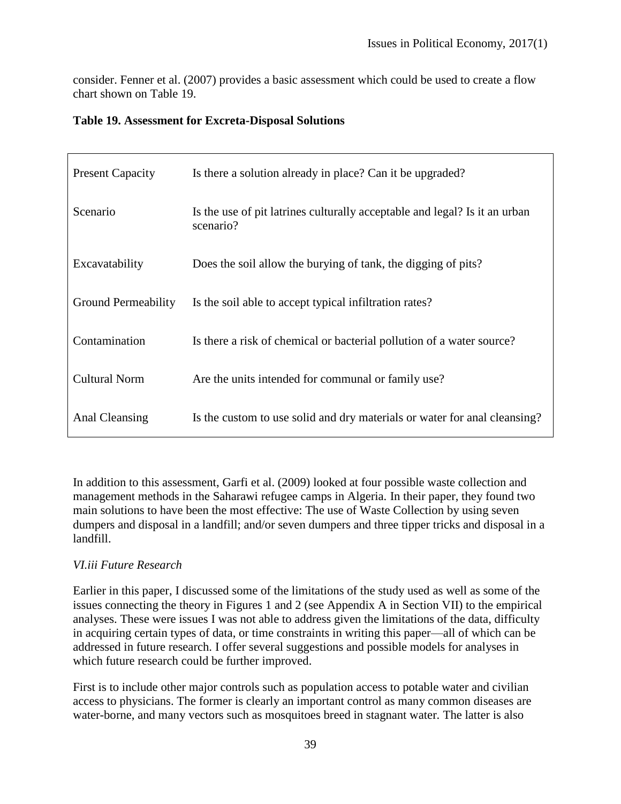consider. Fenner et al. (2007) provides a basic assessment which could be used to create a flow chart shown on Table 19.

|  | <b>Table 19. Assessment for Excreta-Disposal Solutions</b> |  |  |  |  |
|--|------------------------------------------------------------|--|--|--|--|
|--|------------------------------------------------------------|--|--|--|--|

| <b>Present Capacity</b>    | Is there a solution already in place? Can it be upgraded?                               |
|----------------------------|-----------------------------------------------------------------------------------------|
| Scenario                   | Is the use of pit latrines culturally acceptable and legal? Is it an urban<br>scenario? |
| Excavatability             | Does the soil allow the burying of tank, the digging of pits?                           |
| <b>Ground Permeability</b> | Is the soil able to accept typical infiltration rates?                                  |
| Contamination              | Is there a risk of chemical or bacterial pollution of a water source?                   |
| <b>Cultural Norm</b>       | Are the units intended for communal or family use?                                      |
| Anal Cleansing             | Is the custom to use solid and dry materials or water for anal cleansing?               |

In addition to this assessment, Garfi et al. (2009) looked at four possible waste collection and management methods in the Saharawi refugee camps in Algeria. In their paper, they found two main solutions to have been the most effective: The use of Waste Collection by using seven dumpers and disposal in a landfill; and/or seven dumpers and three tipper tricks and disposal in a landfill.

### *VI.iii Future Research*

Earlier in this paper, I discussed some of the limitations of the study used as well as some of the issues connecting the theory in Figures 1 and 2 (see Appendix A in Section VII) to the empirical analyses. These were issues I was not able to address given the limitations of the data, difficulty in acquiring certain types of data, or time constraints in writing this paper—all of which can be addressed in future research. I offer several suggestions and possible models for analyses in which future research could be further improved.

First is to include other major controls such as population access to potable water and civilian access to physicians. The former is clearly an important control as many common diseases are water-borne, and many vectors such as mosquitoes breed in stagnant water. The latter is also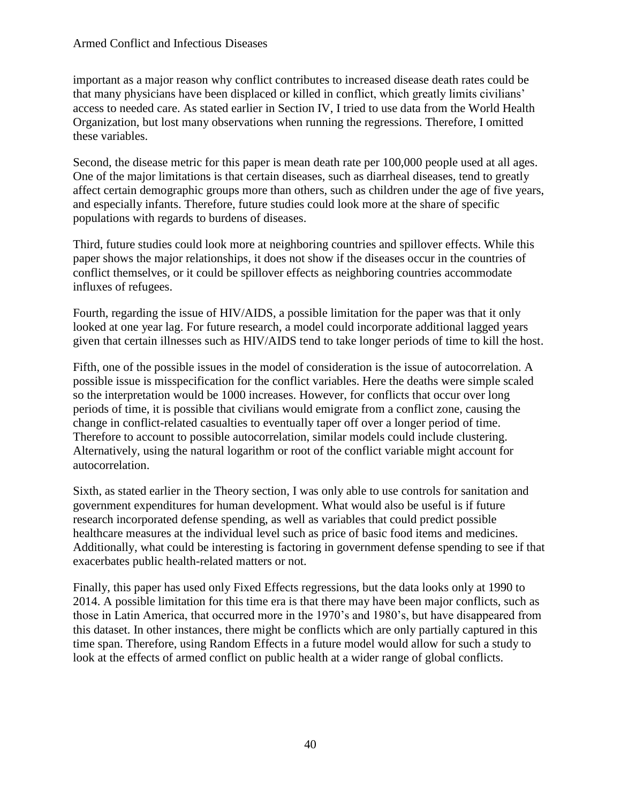#### Armed Conflict and Infectious Diseases

important as a major reason why conflict contributes to increased disease death rates could be that many physicians have been displaced or killed in conflict, which greatly limits civilians' access to needed care. As stated earlier in Section IV, I tried to use data from the World Health Organization, but lost many observations when running the regressions. Therefore, I omitted these variables.

Second, the disease metric for this paper is mean death rate per 100,000 people used at all ages. One of the major limitations is that certain diseases, such as diarrheal diseases, tend to greatly affect certain demographic groups more than others, such as children under the age of five years, and especially infants. Therefore, future studies could look more at the share of specific populations with regards to burdens of diseases.

Third, future studies could look more at neighboring countries and spillover effects. While this paper shows the major relationships, it does not show if the diseases occur in the countries of conflict themselves, or it could be spillover effects as neighboring countries accommodate influxes of refugees.

Fourth, regarding the issue of HIV/AIDS, a possible limitation for the paper was that it only looked at one year lag. For future research, a model could incorporate additional lagged years given that certain illnesses such as HIV/AIDS tend to take longer periods of time to kill the host.

Fifth, one of the possible issues in the model of consideration is the issue of autocorrelation. A possible issue is misspecification for the conflict variables. Here the deaths were simple scaled so the interpretation would be 1000 increases. However, for conflicts that occur over long periods of time, it is possible that civilians would emigrate from a conflict zone, causing the change in conflict-related casualties to eventually taper off over a longer period of time. Therefore to account to possible autocorrelation, similar models could include clustering. Alternatively, using the natural logarithm or root of the conflict variable might account for autocorrelation.

Sixth, as stated earlier in the Theory section, I was only able to use controls for sanitation and government expenditures for human development. What would also be useful is if future research incorporated defense spending, as well as variables that could predict possible healthcare measures at the individual level such as price of basic food items and medicines. Additionally, what could be interesting is factoring in government defense spending to see if that exacerbates public health-related matters or not.

Finally, this paper has used only Fixed Effects regressions, but the data looks only at 1990 to 2014. A possible limitation for this time era is that there may have been major conflicts, such as those in Latin America, that occurred more in the 1970's and 1980's, but have disappeared from this dataset. In other instances, there might be conflicts which are only partially captured in this time span. Therefore, using Random Effects in a future model would allow for such a study to look at the effects of armed conflict on public health at a wider range of global conflicts.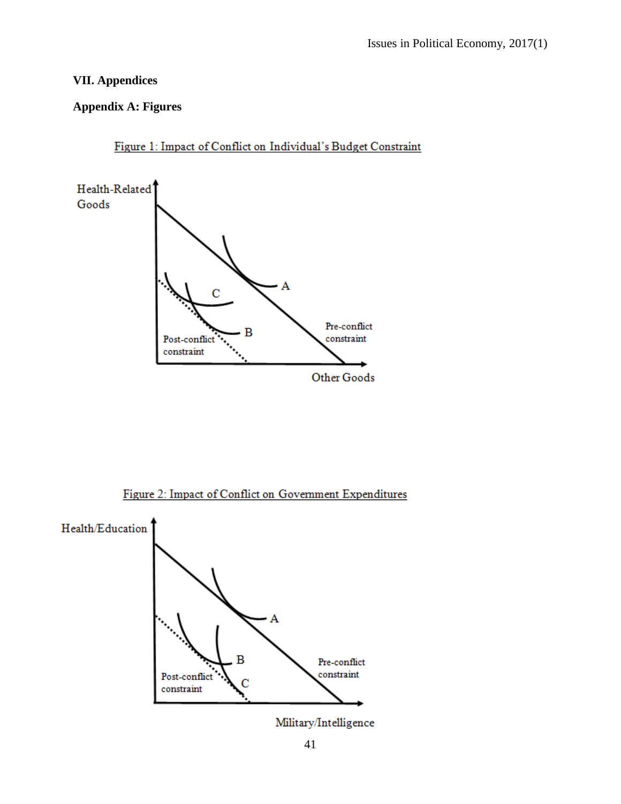# **VII. Appendices**

### **Appendix A: Figures**



Figure 1: Impact of Conflict on Individual's Budget Constraint

Figure 2: Impact of Conflict on Government Expenditures



Military/Intelligence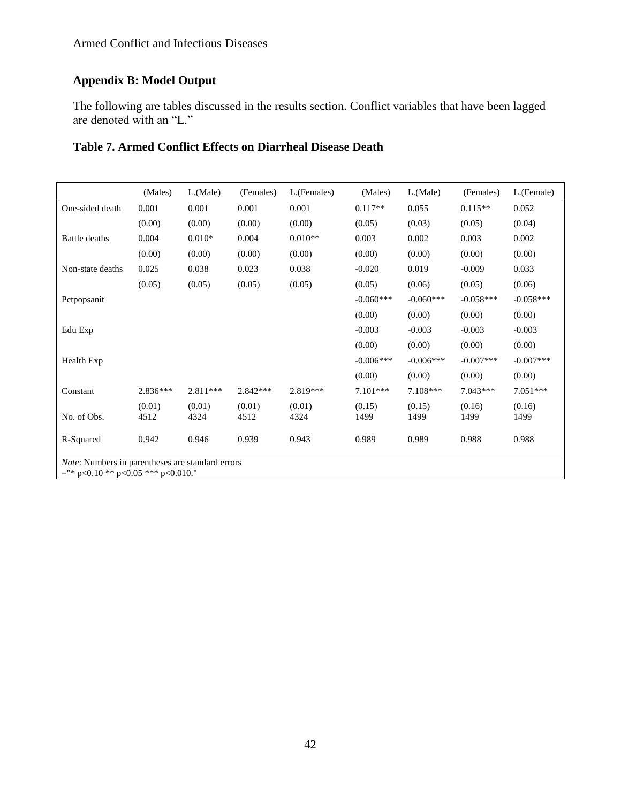# **Appendix B: Model Output**

The following are tables discussed in the results section. Conflict variables that have been lagged are denoted with an "L."

| Table 7. Armed Conflict Effects on Diarrheal Disease Death |  |  |  |  |
|------------------------------------------------------------|--|--|--|--|
|------------------------------------------------------------|--|--|--|--|

|                                                                                                  | (Males)        | $L$ . (Male)   | (Females)      | L.(Females)    | (Males)        | $L$ . (Male)   | (Females)      | L.(Female)     |
|--------------------------------------------------------------------------------------------------|----------------|----------------|----------------|----------------|----------------|----------------|----------------|----------------|
| One-sided death                                                                                  | 0.001          | 0.001          | 0.001          | 0.001          | $0.117**$      | 0.055          | $0.115**$      | 0.052          |
|                                                                                                  | (0.00)         | (0.00)         | (0.00)         | (0.00)         | (0.05)         | (0.03)         | (0.05)         | (0.04)         |
| <b>Battle deaths</b>                                                                             | 0.004          | $0.010*$       | 0.004          | $0.010**$      | 0.003          | 0.002          | 0.003          | 0.002          |
|                                                                                                  | (0.00)         | (0.00)         | (0.00)         | (0.00)         | (0.00)         | (0.00)         | (0.00)         | (0.00)         |
| Non-state deaths                                                                                 | 0.025          | 0.038          | 0.023          | 0.038          | $-0.020$       | 0.019          | $-0.009$       | 0.033          |
|                                                                                                  | (0.05)         | (0.05)         | (0.05)         | (0.05)         | (0.05)         | (0.06)         | (0.05)         | (0.06)         |
| Pctpopsanit                                                                                      |                |                |                |                | $-0.060***$    | $-0.060***$    | $-0.058***$    | $-0.058***$    |
|                                                                                                  |                |                |                |                | (0.00)         | (0.00)         | (0.00)         | (0.00)         |
| Edu Exp                                                                                          |                |                |                |                | $-0.003$       | $-0.003$       | $-0.003$       | $-0.003$       |
|                                                                                                  |                |                |                |                | (0.00)         | (0.00)         | (0.00)         | (0.00)         |
| Health Exp                                                                                       |                |                |                |                | $-0.006***$    | $-0.006***$    | $-0.007***$    | $-0.007***$    |
|                                                                                                  |                |                |                |                | (0.00)         | (0.00)         | (0.00)         | (0.00)         |
| Constant                                                                                         | $2.836***$     | $2.811***$     | $2.842***$     | 2.819***       | $7.101***$     | $7.108***$     | $7.043***$     | $7.051***$     |
| No. of Obs.                                                                                      | (0.01)<br>4512 | (0.01)<br>4324 | (0.01)<br>4512 | (0.01)<br>4324 | (0.15)<br>1499 | (0.15)<br>1499 | (0.16)<br>1499 | (0.16)<br>1499 |
| R-Squared                                                                                        | 0.942          | 0.946          | 0.939          | 0.943          | 0.989          | 0.989          | 0.988          | 0.988          |
| <i>Note:</i> Numbers in parentheses are standard errors<br>$=$ "* p<0.10 ** p<0.05 *** p<0.010." |                |                |                |                |                |                |                |                |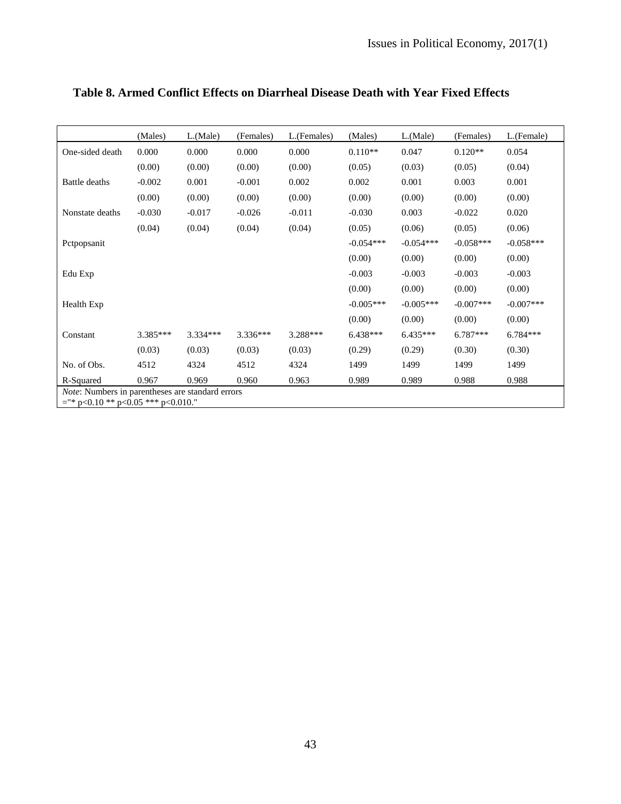|                                                                                                  | (Males)  | L(Male)    | (Females)  | L.(Females) | (Males)     | L.(Male)    | (Females)   | L.(Female)  |
|--------------------------------------------------------------------------------------------------|----------|------------|------------|-------------|-------------|-------------|-------------|-------------|
| One-sided death                                                                                  | 0.000    | 0.000      | 0.000      | 0.000       | $0.110**$   | 0.047       | $0.120**$   | 0.054       |
|                                                                                                  | (0.00)   | (0.00)     | (0.00)     | (0.00)      | (0.05)      | (0.03)      | (0.05)      | (0.04)      |
| Battle deaths                                                                                    | $-0.002$ | 0.001      | $-0.001$   | 0.002       | 0.002       | 0.001       | 0.003       | 0.001       |
|                                                                                                  | (0.00)   | (0.00)     | (0.00)     | (0.00)      | (0.00)      | (0.00)      | (0.00)      | (0.00)      |
| Nonstate deaths                                                                                  | $-0.030$ | $-0.017$   | $-0.026$   | $-0.011$    | $-0.030$    | 0.003       | $-0.022$    | 0.020       |
|                                                                                                  | (0.04)   | (0.04)     | (0.04)     | (0.04)      | (0.05)      | (0.06)      | (0.05)      | (0.06)      |
| Petpopsanit                                                                                      |          |            |            |             | $-0.054***$ | $-0.054***$ | $-0.058***$ | $-0.058***$ |
|                                                                                                  |          |            |            |             | (0.00)      | (0.00)      | (0.00)      | (0.00)      |
| Edu Exp                                                                                          |          |            |            |             | $-0.003$    | $-0.003$    | $-0.003$    | $-0.003$    |
|                                                                                                  |          |            |            |             | (0.00)      | (0.00)      | (0.00)      | (0.00)      |
| Health Exp                                                                                       |          |            |            |             | $-0.005***$ | $-0.005***$ | $-0.007***$ | $-0.007***$ |
|                                                                                                  |          |            |            |             | (0.00)      | (0.00)      | (0.00)      | (0.00)      |
| Constant                                                                                         | 3.385*** | $3.334***$ | $3.336***$ | 3.288***    | 6.438***    | $6.435***$  | 6.787***    | $6.784***$  |
|                                                                                                  | (0.03)   | (0.03)     | (0.03)     | (0.03)      | (0.29)      | (0.29)      | (0.30)      | (0.30)      |
| No. of Obs.                                                                                      | 4512     | 4324       | 4512       | 4324        | 1499        | 1499        | 1499        | 1499        |
| R-Squared                                                                                        | 0.967    | 0.969      | 0.960      | 0.963       | 0.989       | 0.989       | 0.988       | 0.988       |
| <i>Note:</i> Numbers in parentheses are standard errors<br>$=$ "* p<0.10 ** p<0.05 *** p<0.010." |          |            |            |             |             |             |             |             |

# **Table 8. Armed Conflict Effects on Diarrheal Disease Death with Year Fixed Effects**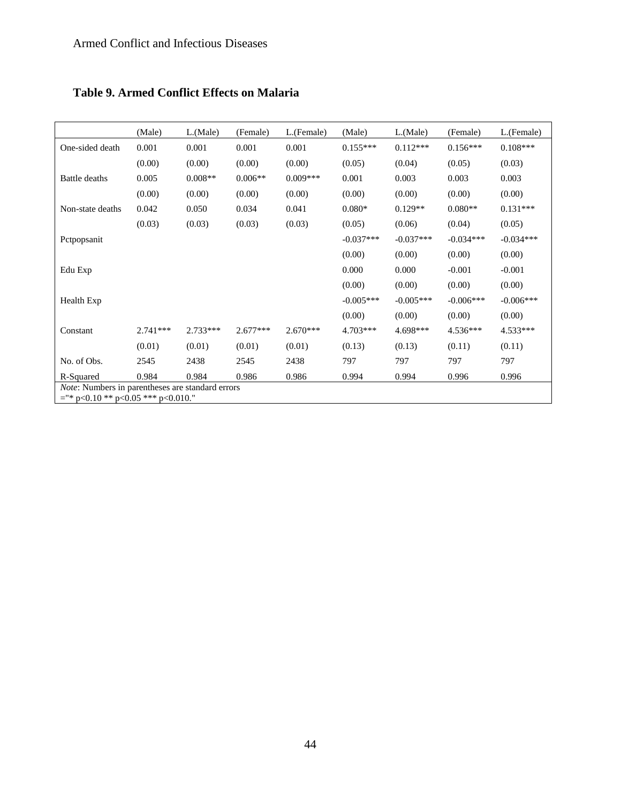| <b>Table 9. Armed Conflict Effects on Malaria</b> |  |  |
|---------------------------------------------------|--|--|
|---------------------------------------------------|--|--|

|                                                                                           | (Male)     | $L$ . (Male) | (Female)   | L.(Female) | (Male)      | $L$ . (Male) | (Female)    | L.(Female)  |
|-------------------------------------------------------------------------------------------|------------|--------------|------------|------------|-------------|--------------|-------------|-------------|
| One-sided death                                                                           | 0.001      | 0.001        | 0.001      | 0.001      | $0.155***$  | $0.112***$   | $0.156***$  | $0.108***$  |
|                                                                                           | (0.00)     | (0.00)       | (0.00)     | (0.00)     | (0.05)      | (0.04)       | (0.05)      | (0.03)      |
| Battle deaths                                                                             | 0.005      | $0.008**$    | $0.006**$  | $0.009***$ | 0.001       | 0.003        | 0.003       | 0.003       |
|                                                                                           | (0.00)     | (0.00)       | (0.00)     | (0.00)     | (0.00)      | (0.00)       | (0.00)      | (0.00)      |
| Non-state deaths                                                                          | 0.042      | 0.050        | 0.034      | 0.041      | $0.080*$    | $0.129**$    | $0.080**$   | $0.131***$  |
|                                                                                           | (0.03)     | (0.03)       | (0.03)     | (0.03)     | (0.05)      | (0.06)       | (0.04)      | (0.05)      |
| Petpopsanit                                                                               |            |              |            |            | $-0.037***$ | $-0.037***$  | $-0.034***$ | $-0.034***$ |
|                                                                                           |            |              |            |            | (0.00)      | (0.00)       | (0.00)      | (0.00)      |
| Edu Exp                                                                                   |            |              |            |            | 0.000       | 0.000        | $-0.001$    | $-0.001$    |
|                                                                                           |            |              |            |            | (0.00)      | (0.00)       | (0.00)      | (0.00)      |
| Health Exp                                                                                |            |              |            |            | $-0.005***$ | $-0.005***$  | $-0.006***$ | $-0.006***$ |
|                                                                                           |            |              |            |            | (0.00)      | (0.00)       | (0.00)      | (0.00)      |
| Constant                                                                                  | $2.741***$ | $2.733***$   | $2.677***$ | $2.670***$ | 4.703***    | 4.698***     | 4.536***    | 4.533***    |
|                                                                                           | (0.01)     | (0.01)       | (0.01)     | (0.01)     | (0.13)      | (0.13)       | (0.11)      | (0.11)      |
| No. of Obs.                                                                               | 2545       | 2438         | 2545       | 2438       | 797         | 797          | 797         | 797         |
| R-Squared                                                                                 | 0.984      | 0.984        | 0.986      | 0.986      | 0.994       | 0.994        | 0.996       | 0.996       |
| Note: Numbers in parentheses are standard errors<br>$=$ "* p<0.10 ** p<0.05 *** p<0.010." |            |              |            |            |             |              |             |             |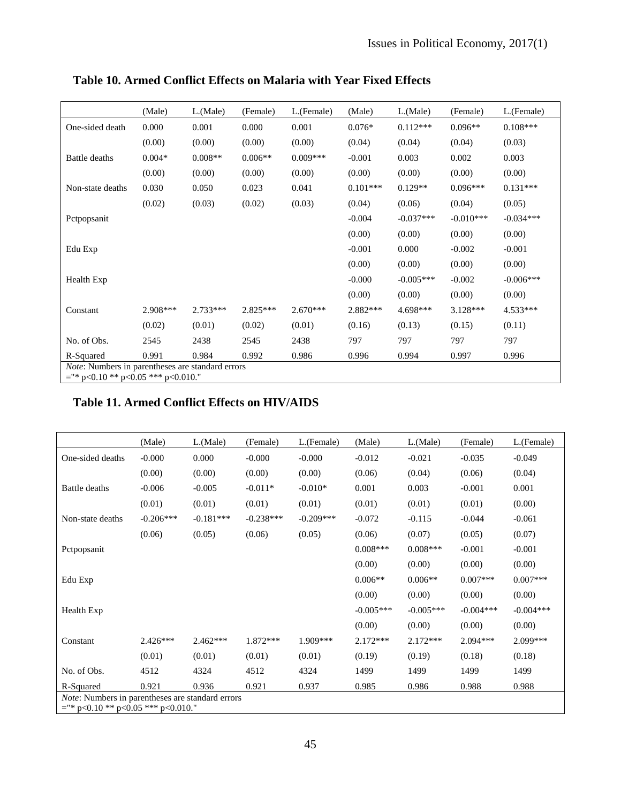|                                                                                                  | (Male)   | $L$ .(Male) | (Female)   | L.(Female) | (Male)     | $L$ . (Male) | (Female)    | L.(Female)  |
|--------------------------------------------------------------------------------------------------|----------|-------------|------------|------------|------------|--------------|-------------|-------------|
| One-sided death                                                                                  | 0.000    | 0.001       | 0.000      | 0.001      | $0.076*$   | $0.112***$   | $0.096**$   | $0.108***$  |
|                                                                                                  | (0.00)   | (0.00)      | (0.00)     | (0.00)     | (0.04)     | (0.04)       | (0.04)      | (0.03)      |
| Battle deaths                                                                                    | $0.004*$ | $0.008**$   | $0.006**$  | $0.009***$ | $-0.001$   | 0.003        | 0.002       | 0.003       |
|                                                                                                  | (0.00)   | (0.00)      | (0.00)     | (0.00)     | (0.00)     | (0.00)       | (0.00)      | (0.00)      |
| Non-state deaths                                                                                 | 0.030    | 0.050       | 0.023      | 0.041      | $0.101***$ | $0.129**$    | $0.096***$  | $0.131***$  |
|                                                                                                  | (0.02)   | (0.03)      | (0.02)     | (0.03)     | (0.04)     | (0.06)       | (0.04)      | (0.05)      |
| Petpopsanit                                                                                      |          |             |            |            | $-0.004$   | $-0.037***$  | $-0.010***$ | $-0.034***$ |
|                                                                                                  |          |             |            |            | (0.00)     | (0.00)       | (0.00)      | (0.00)      |
| Edu Exp                                                                                          |          |             |            |            | $-0.001$   | 0.000        | $-0.002$    | $-0.001$    |
|                                                                                                  |          |             |            |            | (0.00)     | (0.00)       | (0.00)      | (0.00)      |
| Health Exp                                                                                       |          |             |            |            | $-0.000$   | $-0.005***$  | $-0.002$    | $-0.006***$ |
|                                                                                                  |          |             |            |            | (0.00)     | (0.00)       | (0.00)      | (0.00)      |
| Constant                                                                                         | 2.908*** | $2.733***$  | $2.825***$ | $2.670***$ | $2.882***$ | 4.698***     | $3.128***$  | 4.533***    |
|                                                                                                  | (0.02)   | (0.01)      | (0.02)     | (0.01)     | (0.16)     | (0.13)       | (0.15)      | (0.11)      |
| No. of Obs.                                                                                      | 2545     | 2438        | 2545       | 2438       | 797        | 797          | 797         | 797         |
| R-Squared                                                                                        | 0.991    | 0.984       | 0.992      | 0.986      | 0.996      | 0.994        | 0.997       | 0.996       |
| <i>Note:</i> Numbers in parentheses are standard errors<br>$=$ "* p<0.10 ** p<0.05 *** p<0.010." |          |             |            |            |            |              |             |             |

**Table 10. Armed Conflict Effects on Malaria with Year Fixed Effects**

### **Table 11. Armed Conflict Effects on HIV/AIDS**

|                                                                                           | (Male)      | $L$ . (Male) | (Female)    | L.(Female)  | (Male)      | $L$ . (Male) | (Female)    | L.(Female)  |
|-------------------------------------------------------------------------------------------|-------------|--------------|-------------|-------------|-------------|--------------|-------------|-------------|
| One-sided deaths                                                                          | $-0.000$    | 0.000        | $-0.000$    | $-0.000$    | $-0.012$    | $-0.021$     | $-0.035$    | $-0.049$    |
|                                                                                           | (0.00)      | (0.00)       | (0.00)      | (0.00)      | (0.06)      | (0.04)       | (0.06)      | (0.04)      |
| Battle deaths                                                                             | $-0.006$    | $-0.005$     | $-0.011*$   | $-0.010*$   | 0.001       | 0.003        | $-0.001$    | 0.001       |
|                                                                                           | (0.01)      | (0.01)       | (0.01)      | (0.01)      | (0.01)      | (0.01)       | (0.01)      | (0.00)      |
| Non-state deaths                                                                          | $-0.206***$ | $-0.181***$  | $-0.238***$ | $-0.209***$ | $-0.072$    | $-0.115$     | $-0.044$    | $-0.061$    |
|                                                                                           | (0.06)      | (0.05)       | (0.06)      | (0.05)      | (0.06)      | (0.07)       | (0.05)      | (0.07)      |
| Pctpopsanit                                                                               |             |              |             |             | $0.008***$  | $0.008***$   | $-0.001$    | $-0.001$    |
|                                                                                           |             |              |             |             | (0.00)      | (0.00)       | (0.00)      | (0.00)      |
| Edu Exp                                                                                   |             |              |             |             | $0.006**$   | $0.006**$    | $0.007***$  | $0.007***$  |
|                                                                                           |             |              |             |             | (0.00)      | (0.00)       | (0.00)      | (0.00)      |
| Health Exp                                                                                |             |              |             |             | $-0.005***$ | $-0.005***$  | $-0.004***$ | $-0.004***$ |
|                                                                                           |             |              |             |             | (0.00)      | (0.00)       | (0.00)      | (0.00)      |
| Constant                                                                                  | $2.426***$  | $2.462***$   | 1.872***    | 1.909***    | $2.172***$  | $2.172***$   | $2.094***$  | 2.099***    |
|                                                                                           | (0.01)      | (0.01)       | (0.01)      | (0.01)      | (0.19)      | (0.19)       | (0.18)      | (0.18)      |
| No. of Obs.                                                                               | 4512        | 4324         | 4512        | 4324        | 1499        | 1499         | 1499        | 1499        |
| R-Squared                                                                                 | 0.921       | 0.936        | 0.921       | 0.937       | 0.985       | 0.986        | 0.988       | 0.988       |
| Note: Numbers in parentheses are standard errors<br>$=$ "* p<0.10 ** p<0.05 *** p<0.010." |             |              |             |             |             |              |             |             |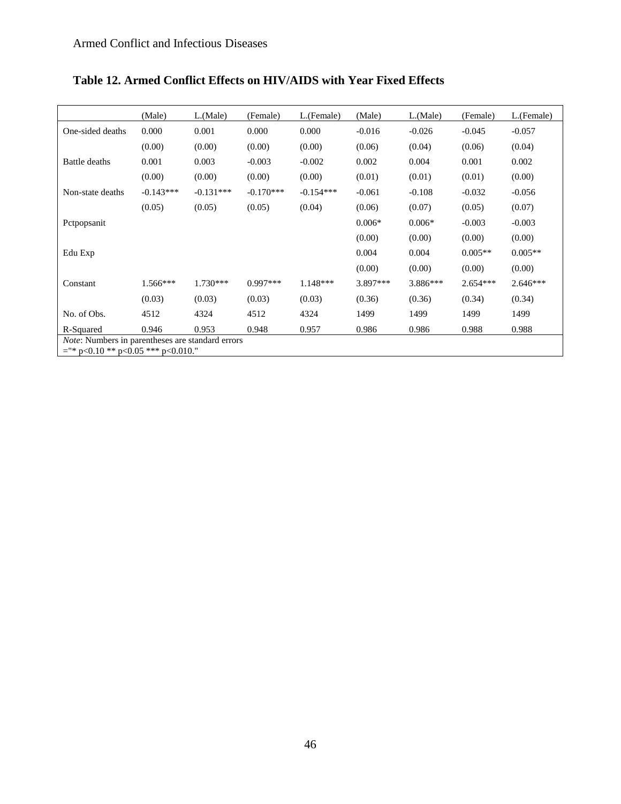|                                                                                                  | (Male)      | $L$ . (Male) | (Female)    | L.(Female)  | (Male)   | $L$ (Male) | (Female)   | L.(Female) |
|--------------------------------------------------------------------------------------------------|-------------|--------------|-------------|-------------|----------|------------|------------|------------|
| One-sided deaths                                                                                 | 0.000       | 0.001        | 0.000       | 0.000       | $-0.016$ | $-0.026$   | $-0.045$   | $-0.057$   |
|                                                                                                  | (0.00)      | (0.00)       | (0.00)      | (0.00)      | (0.06)   | (0.04)     | (0.06)     | (0.04)     |
| Battle deaths                                                                                    | 0.001       | 0.003        | $-0.003$    | $-0.002$    | 0.002    | 0.004      | 0.001      | 0.002      |
|                                                                                                  | (0.00)      | (0.00)       | (0.00)      | (0.00)      | (0.01)   | (0.01)     | (0.01)     | (0.00)     |
| Non-state deaths                                                                                 | $-0.143***$ | $-0.131***$  | $-0.170***$ | $-0.154***$ | $-0.061$ | $-0.108$   | $-0.032$   | $-0.056$   |
|                                                                                                  | (0.05)      | (0.05)       | (0.05)      | (0.04)      | (0.06)   | (0.07)     | (0.05)     | (0.07)     |
| Petpopsanit                                                                                      |             |              |             |             | $0.006*$ | $0.006*$   | $-0.003$   | $-0.003$   |
|                                                                                                  |             |              |             |             | (0.00)   | (0.00)     | (0.00)     | (0.00)     |
| Edu Exp                                                                                          |             |              |             |             | 0.004    | 0.004      | $0.005**$  | $0.005**$  |
|                                                                                                  |             |              |             |             | (0.00)   | (0.00)     | (0.00)     | (0.00)     |
| Constant                                                                                         | $1.566***$  | $1.730***$   | $0.997***$  | $1.148***$  | 3.897*** | 3.886***   | $2.654***$ | $2.646***$ |
|                                                                                                  | (0.03)      | (0.03)       | (0.03)      | (0.03)      | (0.36)   | (0.36)     | (0.34)     | (0.34)     |
| No. of Obs.                                                                                      | 4512        | 4324         | 4512        | 4324        | 1499     | 1499       | 1499       | 1499       |
| R-Squared                                                                                        | 0.946       | 0.953        | 0.948       | 0.957       | 0.986    | 0.986      | 0.988      | 0.988      |
| <i>Note:</i> Numbers in parentheses are standard errors<br>$=$ "* p<0.10 ** p<0.05 *** p<0.010." |             |              |             |             |          |            |            |            |

# **Table 12. Armed Conflict Effects on HIV/AIDS with Year Fixed Effects**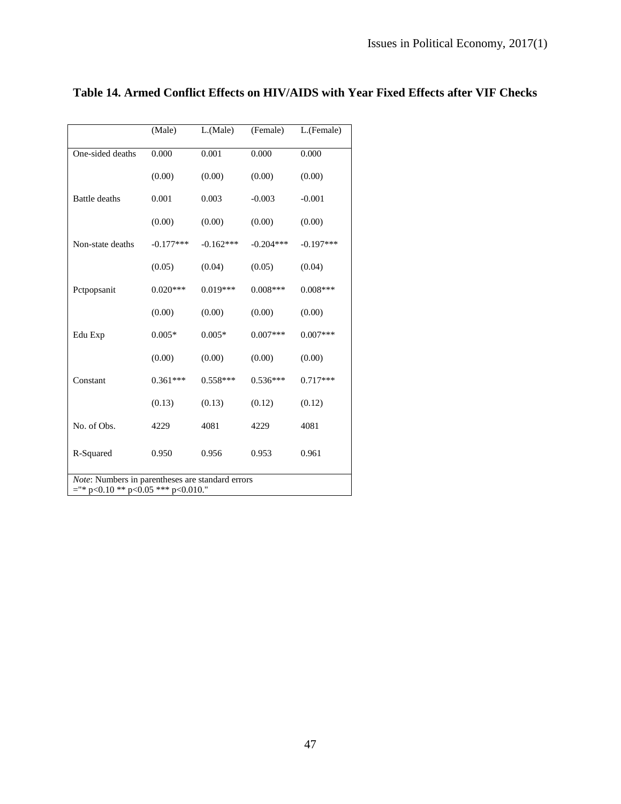|                                                                                           | (Male)      | L.(Male)    | (Female)    | L.(Female)  |
|-------------------------------------------------------------------------------------------|-------------|-------------|-------------|-------------|
| One-sided deaths                                                                          | 0.000       | 0.001       | 0.000       | 0.000       |
|                                                                                           | (0.00)      | (0.00)      | (0.00)      | (0.00)      |
| <b>Battle</b> deaths                                                                      | 0.001       | 0.003       | $-0.003$    | $-0.001$    |
|                                                                                           | (0.00)      | (0.00)      | (0.00)      | (0.00)      |
| Non-state deaths                                                                          | $-0.177***$ | $-0.162***$ | $-0.204***$ | $-0.197***$ |
|                                                                                           | (0.05)      | (0.04)      | (0.05)      | (0.04)      |
| Pctpopsanit                                                                               | $0.020***$  | $0.019***$  | $0.008***$  | $0.008***$  |
|                                                                                           | (0.00)      | (0.00)      | (0.00)      | (0.00)      |
| Edu Exp                                                                                   | $0.005*$    | $0.005*$    | $0.007***$  | $0.007***$  |
|                                                                                           | (0.00)      | (0.00)      | (0.00)      | (0.00)      |
| Constant                                                                                  | $0.361***$  | $0.558***$  | $0.536***$  | $0.717***$  |
|                                                                                           | (0.13)      | (0.13)      | (0.12)      | (0.12)      |
| No. of Obs.                                                                               | 4229        | 4081        | 4229        | 4081        |
| R-Squared                                                                                 | 0.950       | 0.956       | 0.953       | 0.961       |
| Note: Numbers in parentheses are standard errors<br>$=$ "* p<0.10 ** p<0.05 *** p<0.010." |             |             |             |             |

# **Table 14. Armed Conflict Effects on HIV/AIDS with Year Fixed Effects after VIF Checks**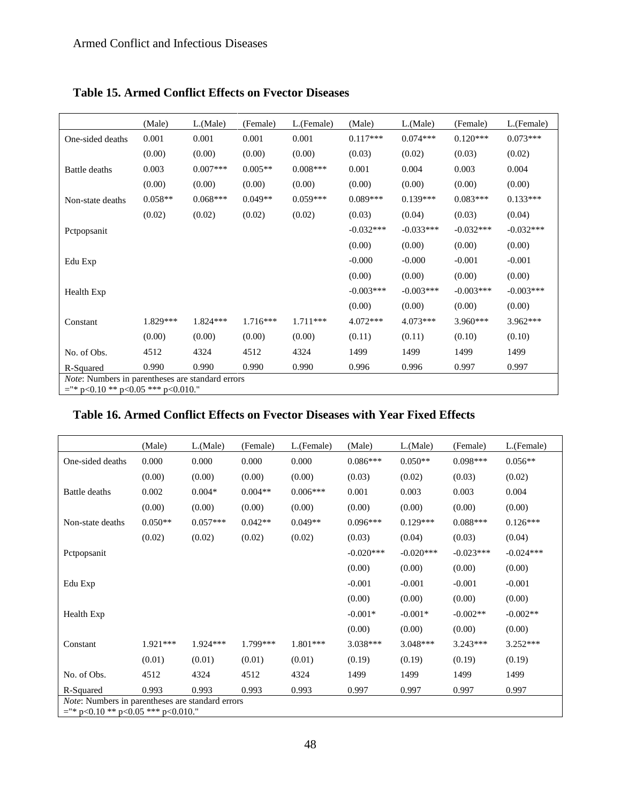|                                                                                                  | (Male)    | L(Male)    | (Female)   | L.(Female) | (Male)      | L(Male)     | (Female)    | L.(Female)  |
|--------------------------------------------------------------------------------------------------|-----------|------------|------------|------------|-------------|-------------|-------------|-------------|
| One-sided deaths                                                                                 | 0.001     | 0.001      | 0.001      | 0.001      | $0.117***$  | $0.074***$  | $0.120***$  | $0.073***$  |
|                                                                                                  | (0.00)    | (0.00)     | (0.00)     | (0.00)     | (0.03)      | (0.02)      | (0.03)      | (0.02)      |
| Battle deaths                                                                                    | 0.003     | $0.007***$ | $0.005**$  | $0.008***$ | 0.001       | 0.004       | 0.003       | 0.004       |
|                                                                                                  | (0.00)    | (0.00)     | (0.00)     | (0.00)     | (0.00)      | (0.00)      | (0.00)      | (0.00)      |
| Non-state deaths                                                                                 | $0.058**$ | $0.068***$ | $0.049**$  | $0.059***$ | $0.089***$  | $0.139***$  | $0.083***$  | $0.133***$  |
|                                                                                                  | (0.02)    | (0.02)     | (0.02)     | (0.02)     | (0.03)      | (0.04)      | (0.03)      | (0.04)      |
| Pctpopsanit                                                                                      |           |            |            |            | $-0.032***$ | $-0.033***$ | $-0.032***$ | $-0.032***$ |
|                                                                                                  |           |            |            |            | (0.00)      | (0.00)      | (0.00)      | (0.00)      |
| Edu Exp                                                                                          |           |            |            |            | $-0.000$    | $-0.000$    | $-0.001$    | $-0.001$    |
|                                                                                                  |           |            |            |            | (0.00)      | (0.00)      | (0.00)      | (0.00)      |
| Health Exp                                                                                       |           |            |            |            | $-0.003***$ | $-0.003***$ | $-0.003***$ | $-0.003***$ |
|                                                                                                  |           |            |            |            | (0.00)      | (0.00)      | (0.00)      | (0.00)      |
| Constant                                                                                         | 1.829***  | $1.824***$ | $1.716***$ | $1.711***$ | $4.072***$  | $4.073***$  | $3.960***$  | $3.962***$  |
|                                                                                                  | (0.00)    | (0.00)     | (0.00)     | (0.00)     | (0.11)      | (0.11)      | (0.10)      | (0.10)      |
| No. of Obs.                                                                                      | 4512      | 4324       | 4512       | 4324       | 1499        | 1499        | 1499        | 1499        |
| R-Squared                                                                                        | 0.990     | 0.990      | 0.990      | 0.990      | 0.996       | 0.996       | 0.997       | 0.997       |
| <i>Note:</i> Numbers in parentheses are standard errors<br>$=$ "* p<0.10 ** p<0.05 *** p<0.010." |           |            |            |            |             |             |             |             |

### **Table 15. Armed Conflict Effects on Fvector Diseases**

#### **Table 16. Armed Conflict Effects on Fvector Diseases with Year Fixed Effects**

|                                                                                                  | (Male)    | $L$ (Male) | (Female)  | L.(Female) | (Male)      | $L$ . (Male) | (Female)    | L.(Female)  |
|--------------------------------------------------------------------------------------------------|-----------|------------|-----------|------------|-------------|--------------|-------------|-------------|
| One-sided deaths                                                                                 | 0.000     | 0.000      | 0.000     | 0.000      | $0.086***$  | $0.050**$    | $0.098***$  | $0.056**$   |
|                                                                                                  | (0.00)    | (0.00)     | (0.00)    | (0.00)     | (0.03)      | (0.02)       | (0.03)      | (0.02)      |
| Battle deaths                                                                                    | 0.002     | $0.004*$   | $0.004**$ | $0.006***$ | 0.001       | 0.003        | 0.003       | 0.004       |
|                                                                                                  | (0.00)    | (0.00)     | (0.00)    | (0.00)     | (0.00)      | (0.00)       | (0.00)      | (0.00)      |
| Non-state deaths                                                                                 | $0.050**$ | $0.057***$ | $0.042**$ | $0.049**$  | $0.096***$  | $0.129***$   | $0.088***$  | $0.126***$  |
|                                                                                                  | (0.02)    | (0.02)     | (0.02)    | (0.02)     | (0.03)      | (0.04)       | (0.03)      | (0.04)      |
| Pctpopsanit                                                                                      |           |            |           |            | $-0.020***$ | $-0.020***$  | $-0.023***$ | $-0.024***$ |
|                                                                                                  |           |            |           |            | (0.00)      | (0.00)       | (0.00)      | (0.00)      |
| Edu Exp                                                                                          |           |            |           |            | $-0.001$    | $-0.001$     | $-0.001$    | $-0.001$    |
|                                                                                                  |           |            |           |            | (0.00)      | (0.00)       | (0.00)      | (0.00)      |
| Health Exp                                                                                       |           |            |           |            | $-0.001*$   | $-0.001*$    | $-0.002**$  | $-0.002**$  |
|                                                                                                  |           |            |           |            | (0.00)      | (0.00)       | (0.00)      | (0.00)      |
| Constant                                                                                         | 1.921***  | 1.924 ***  | 1.799***  | 1.801***   | 3.038***    | $3.048***$   | $3.243***$  | $3.252***$  |
|                                                                                                  | (0.01)    | (0.01)     | (0.01)    | (0.01)     | (0.19)      | (0.19)       | (0.19)      | (0.19)      |
| No. of Obs.                                                                                      | 4512      | 4324       | 4512      | 4324       | 1499        | 1499         | 1499        | 1499        |
| R-Squared                                                                                        | 0.993     | 0.993      | 0.993     | 0.993      | 0.997       | 0.997        | 0.997       | 0.997       |
| <i>Note:</i> Numbers in parentheses are standard errors<br>$=$ "* p<0.10 ** p<0.05 *** p<0.010." |           |            |           |            |             |              |             |             |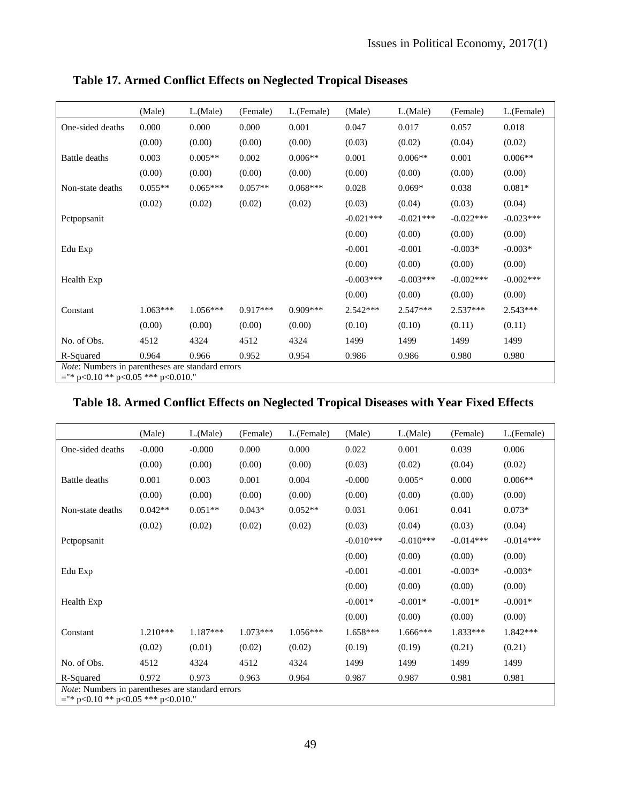|                                                                                                  | (Male)     | $L$ . (Male) | (Female)   | L.(Female) | (Male)      | $L$ . (Male) | (Female)    | L.(Female)  |
|--------------------------------------------------------------------------------------------------|------------|--------------|------------|------------|-------------|--------------|-------------|-------------|
| One-sided deaths                                                                                 | 0.000      | 0.000        | 0.000      | 0.001      | 0.047       | 0.017        | 0.057       | 0.018       |
|                                                                                                  | (0.00)     | (0.00)       | (0.00)     | (0.00)     | (0.03)      | (0.02)       | (0.04)      | (0.02)      |
| Battle deaths                                                                                    | 0.003      | $0.005**$    | 0.002      | $0.006**$  | 0.001       | $0.006**$    | 0.001       | $0.006**$   |
|                                                                                                  | (0.00)     | (0.00)       | (0.00)     | (0.00)     | (0.00)      | (0.00)       | (0.00)      | (0.00)      |
| Non-state deaths                                                                                 | $0.055**$  | $0.065***$   | $0.057**$  | $0.068***$ | 0.028       | $0.069*$     | 0.038       | $0.081*$    |
|                                                                                                  | (0.02)     | (0.02)       | (0.02)     | (0.02)     | (0.03)      | (0.04)       | (0.03)      | (0.04)      |
| Pctpopsanit                                                                                      |            |              |            |            | $-0.021***$ | $-0.021***$  | $-0.022***$ | $-0.023***$ |
|                                                                                                  |            |              |            |            | (0.00)      | (0.00)       | (0.00)      | (0.00)      |
| Edu Exp                                                                                          |            |              |            |            | $-0.001$    | $-0.001$     | $-0.003*$   | $-0.003*$   |
|                                                                                                  |            |              |            |            | (0.00)      | (0.00)       | (0.00)      | (0.00)      |
| Health Exp                                                                                       |            |              |            |            | $-0.003***$ | $-0.003***$  | $-0.002***$ | $-0.002***$ |
|                                                                                                  |            |              |            |            | (0.00)      | (0.00)       | (0.00)      | (0.00)      |
| Constant                                                                                         | $1.063***$ | $1.056***$   | $0.917***$ | $0.909***$ | $2.542***$  | $2.547***$   | $2.537***$  | $2.543***$  |
|                                                                                                  | (0.00)     | (0.00)       | (0.00)     | (0.00)     | (0.10)      | (0.10)       | (0.11)      | (0.11)      |
| No. of Obs.                                                                                      | 4512       | 4324         | 4512       | 4324       | 1499        | 1499         | 1499        | 1499        |
| R-Squared                                                                                        | 0.964      | 0.966        | 0.952      | 0.954      | 0.986       | 0.986        | 0.980       | 0.980       |
| <i>Note:</i> Numbers in parentheses are standard errors<br>$=$ "* p<0.10 ** p<0.05 *** p<0.010." |            |              |            |            |             |              |             |             |

**Table 17. Armed Conflict Effects on Neglected Tropical Diseases** 

# **Table 18. Armed Conflict Effects on Neglected Tropical Diseases with Year Fixed Effects**

|                                                                                                  | (Male)     | L(Male)    | (Female)   | L.(Female) | (Male)      | $L$ . (Male) | (Female)    | L.(Female)  |
|--------------------------------------------------------------------------------------------------|------------|------------|------------|------------|-------------|--------------|-------------|-------------|
| One-sided deaths                                                                                 | $-0.000$   | $-0.000$   | 0.000      | 0.000      | 0.022       | 0.001        | 0.039       | 0.006       |
|                                                                                                  | (0.00)     | (0.00)     | (0.00)     | (0.00)     | (0.03)      | (0.02)       | (0.04)      | (0.02)      |
| Battle deaths                                                                                    | 0.001      | 0.003      | 0.001      | 0.004      | $-0.000$    | $0.005*$     | 0.000       | $0.006**$   |
|                                                                                                  | (0.00)     | (0.00)     | (0.00)     | (0.00)     | (0.00)      | (0.00)       | (0.00)      | (0.00)      |
| Non-state deaths                                                                                 | $0.042**$  | $0.051**$  | $0.043*$   | $0.052**$  | 0.031       | 0.061        | 0.041       | $0.073*$    |
|                                                                                                  | (0.02)     | (0.02)     | (0.02)     | (0.02)     | (0.03)      | (0.04)       | (0.03)      | (0.04)      |
| Pctpopsanit                                                                                      |            |            |            |            | $-0.010***$ | $-0.010***$  | $-0.014***$ | $-0.014***$ |
|                                                                                                  |            |            |            |            | (0.00)      | (0.00)       | (0.00)      | (0.00)      |
| Edu Exp                                                                                          |            |            |            |            | $-0.001$    | $-0.001$     | $-0.003*$   | $-0.003*$   |
|                                                                                                  |            |            |            |            | (0.00)      | (0.00)       | (0.00)      | (0.00)      |
| Health Exp                                                                                       |            |            |            |            | $-0.001*$   | $-0.001*$    | $-0.001*$   | $-0.001*$   |
|                                                                                                  |            |            |            |            | (0.00)      | (0.00)       | (0.00)      | (0.00)      |
| Constant                                                                                         | $1.210***$ | $1.187***$ | $1.073***$ | $1.056***$ | $1.658***$  | $1.666***$   | $1.833***$  | $1.842***$  |
|                                                                                                  | (0.02)     | (0.01)     | (0.02)     | (0.02)     | (0.19)      | (0.19)       | (0.21)      | (0.21)      |
| No. of Obs.                                                                                      | 4512       | 4324       | 4512       | 4324       | 1499        | 1499         | 1499        | 1499        |
| R-Squared                                                                                        | 0.972      | 0.973      | 0.963      | 0.964      | 0.987       | 0.987        | 0.981       | 0.981       |
| <i>Note:</i> Numbers in parentheses are standard errors<br>$=$ "* p<0.10 ** p<0.05 *** p<0.010." |            |            |            |            |             |              |             |             |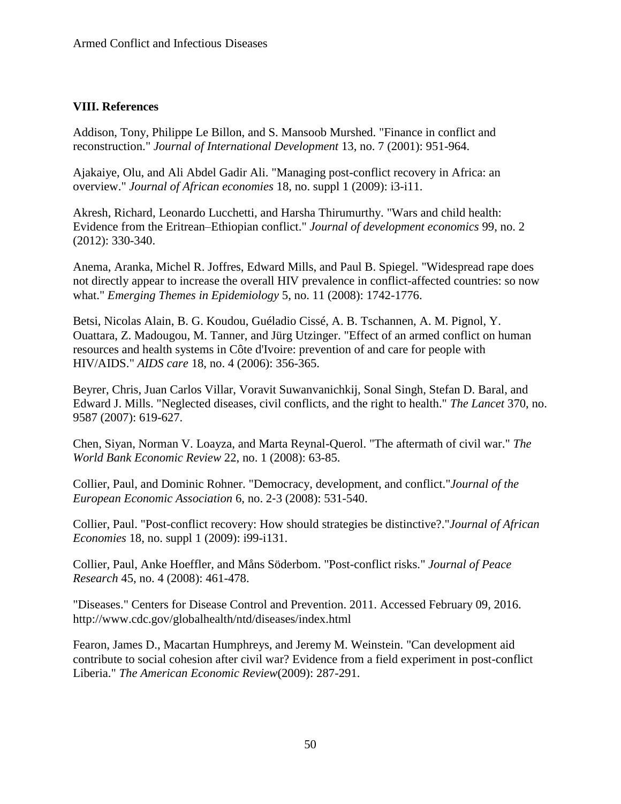#### **VIII. References**

Addison, Tony, Philippe Le Billon, and S. Mansoob Murshed. "Finance in conflict and reconstruction." *Journal of International Development* 13, no. 7 (2001): 951-964.

Ajakaiye, Olu, and Ali Abdel Gadir Ali. "Managing post-conflict recovery in Africa: an overview." *Journal of African economies* 18, no. suppl 1 (2009): i3-i11.

Akresh, Richard, Leonardo Lucchetti, and Harsha Thirumurthy. "Wars and child health: Evidence from the Eritrean–Ethiopian conflict." *Journal of development economics* 99, no. 2 (2012): 330-340.

Anema, Aranka, Michel R. Joffres, Edward Mills, and Paul B. Spiegel. "Widespread rape does not directly appear to increase the overall HIV prevalence in conflict-affected countries: so now what." *Emerging Themes in Epidemiology* 5, no. 11 (2008): 1742-1776.

Betsi, Nicolas Alain, B. G. Koudou, Guéladio Cissé, A. B. Tschannen, A. M. Pignol, Y. Ouattara, Z. Madougou, M. Tanner, and Jürg Utzinger. "Effect of an armed conflict on human resources and health systems in Côte d'Ivoire: prevention of and care for people with HIV/AIDS." *AIDS care* 18, no. 4 (2006): 356-365.

Beyrer, Chris, Juan Carlos Villar, Voravit Suwanvanichkij, Sonal Singh, Stefan D. Baral, and Edward J. Mills. "Neglected diseases, civil conflicts, and the right to health." *The Lancet* 370, no. 9587 (2007): 619-627.

Chen, Siyan, Norman V. Loayza, and Marta Reynal-Querol. "The aftermath of civil war." *The World Bank Economic Review* 22, no. 1 (2008): 63-85.

Collier, Paul, and Dominic Rohner. "Democracy, development, and conflict."*Journal of the European Economic Association* 6, no. 2‐3 (2008): 531-540.

Collier, Paul. "Post-conflict recovery: How should strategies be distinctive?."*Journal of African Economies* 18, no. suppl 1 (2009): i99-i131.

Collier, Paul, Anke Hoeffler, and Måns Söderbom. "Post-conflict risks." *Journal of Peace Research* 45, no. 4 (2008): 461-478.

"Diseases." Centers for Disease Control and Prevention. 2011. Accessed February 09, 2016. http://www.cdc.gov/globalhealth/ntd/diseases/index.html

Fearon, James D., Macartan Humphreys, and Jeremy M. Weinstein. "Can development aid contribute to social cohesion after civil war? Evidence from a field experiment in post-conflict Liberia." *The American Economic Review*(2009): 287-291.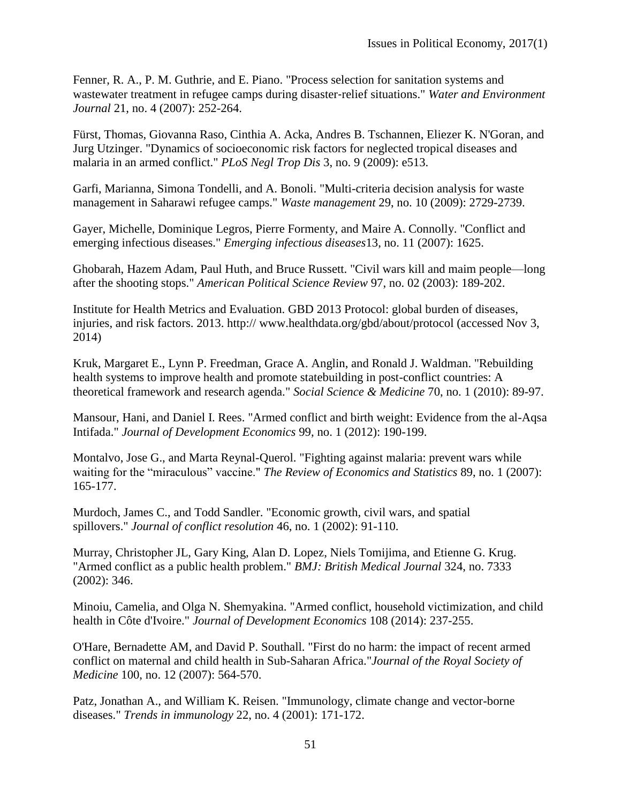Fenner, R. A., P. M. Guthrie, and E. Piano. "Process selection for sanitation systems and wastewater treatment in refugee camps during disaster‐relief situations." *Water and Environment Journal* 21, no. 4 (2007): 252-264.

Fürst, Thomas, Giovanna Raso, Cinthia A. Acka, Andres B. Tschannen, Eliezer K. N'Goran, and Jurg Utzinger. "Dynamics of socioeconomic risk factors for neglected tropical diseases and malaria in an armed conflict." *PLoS Negl Trop Dis* 3, no. 9 (2009): e513.

Garfi, Marianna, Simona Tondelli, and A. Bonoli. "Multi-criteria decision analysis for waste management in Saharawi refugee camps." *Waste management* 29, no. 10 (2009): 2729-2739.

Gayer, Michelle, Dominique Legros, Pierre Formenty, and Maire A. Connolly. "Conflict and emerging infectious diseases." *Emerging infectious diseases*13, no. 11 (2007): 1625.

Ghobarah, Hazem Adam, Paul Huth, and Bruce Russett. "Civil wars kill and maim people—long after the shooting stops." *American Political Science Review* 97, no. 02 (2003): 189-202.

Institute for Health Metrics and Evaluation. GBD 2013 Protocol: global burden of diseases, injuries, and risk factors. 2013. http:// www.healthdata.org/gbd/about/protocol (accessed Nov 3, 2014)

Kruk, Margaret E., Lynn P. Freedman, Grace A. Anglin, and Ronald J. Waldman. "Rebuilding health systems to improve health and promote statebuilding in post-conflict countries: A theoretical framework and research agenda." *Social Science & Medicine* 70, no. 1 (2010): 89-97.

Mansour, Hani, and Daniel I. Rees. "Armed conflict and birth weight: Evidence from the al-Aqsa Intifada." *Journal of Development Economics* 99, no. 1 (2012): 190-199.

Montalvo, Jose G., and Marta Reynal-Querol. "Fighting against malaria: prevent wars while waiting for the "miraculous" vaccine." *The Review of Economics and Statistics* 89, no. 1 (2007): 165-177.

Murdoch, James C., and Todd Sandler. "Economic growth, civil wars, and spatial spillovers." *Journal of conflict resolution* 46, no. 1 (2002): 91-110.

Murray, Christopher JL, Gary King, Alan D. Lopez, Niels Tomijima, and Etienne G. Krug. "Armed conflict as a public health problem." *BMJ: British Medical Journal* 324, no. 7333 (2002): 346.

Minoiu, Camelia, and Olga N. Shemyakina. "Armed conflict, household victimization, and child health in Côte d'Ivoire." *Journal of Development Economics* 108 (2014): 237-255.

O'Hare, Bernadette AM, and David P. Southall. "First do no harm: the impact of recent armed conflict on maternal and child health in Sub-Saharan Africa."*Journal of the Royal Society of Medicine* 100, no. 12 (2007): 564-570.

Patz, Jonathan A., and William K. Reisen. "Immunology, climate change and vector-borne diseases." *Trends in immunology* 22, no. 4 (2001): 171-172.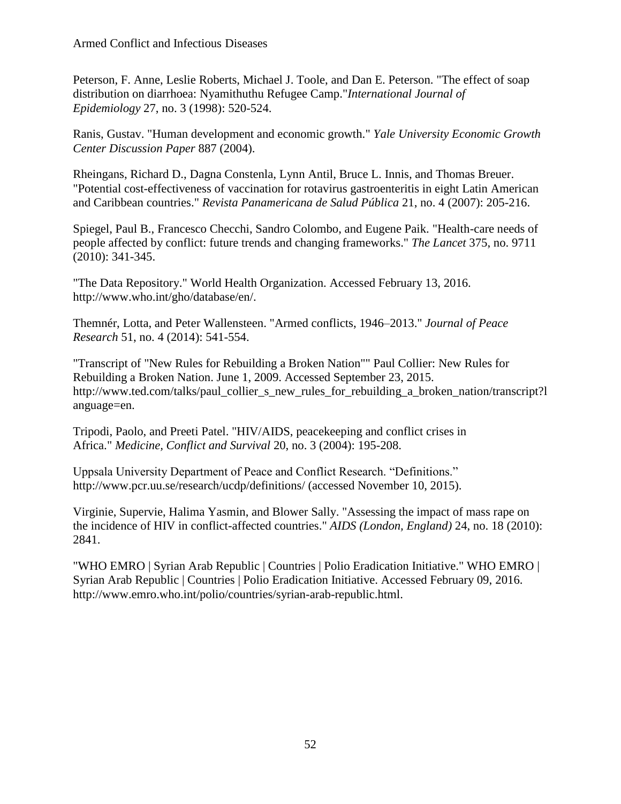Peterson, F. Anne, Leslie Roberts, Michael J. Toole, and Dan E. Peterson. "The effect of soap distribution on diarrhoea: Nyamithuthu Refugee Camp."*International Journal of Epidemiology* 27, no. 3 (1998): 520-524.

Ranis, Gustav. "Human development and economic growth." *Yale University Economic Growth Center Discussion Paper* 887 (2004).

Rheingans, Richard D., Dagna Constenla, Lynn Antil, Bruce L. Innis, and Thomas Breuer. "Potential cost-effectiveness of vaccination for rotavirus gastroenteritis in eight Latin American and Caribbean countries." *Revista Panamericana de Salud Pública* 21, no. 4 (2007): 205-216.

Spiegel, Paul B., Francesco Checchi, Sandro Colombo, and Eugene Paik. "Health-care needs of people affected by conflict: future trends and changing frameworks." *The Lancet* 375, no. 9711 (2010): 341-345.

"The Data Repository." World Health Organization. Accessed February 13, 2016. http://www.who.int/gho/database/en/.

Themnér, Lotta, and Peter Wallensteen. "Armed conflicts, 1946–2013." *Journal of Peace Research* 51, no. 4 (2014): 541-554.

"Transcript of "New Rules for Rebuilding a Broken Nation"" Paul Collier: New Rules for Rebuilding a Broken Nation. June 1, 2009. Accessed September 23, 2015. http://www.ted.com/talks/paul\_collier\_s\_new\_rules\_for\_rebuilding\_a\_broken\_nation/transcript?l anguage=en.

Tripodi, Paolo, and Preeti Patel. "HIV/AIDS, peacekeeping and conflict crises in Africa." *Medicine, Conflict and Survival* 20, no. 3 (2004): 195-208.

Uppsala University Department of Peace and Conflict Research. "Definitions." http://www.pcr.uu.se/research/ucdp/definitions/ (accessed November 10, 2015).

Virginie, Supervie, Halima Yasmin, and Blower Sally. "Assessing the impact of mass rape on the incidence of HIV in conflict-affected countries." *AIDS (London, England)* 24, no. 18 (2010): 2841.

"WHO EMRO | Syrian Arab Republic | Countries | Polio Eradication Initiative." WHO EMRO | Syrian Arab Republic | Countries | Polio Eradication Initiative. Accessed February 09, 2016. http://www.emro.who.int/polio/countries/syrian-arab-republic.html.